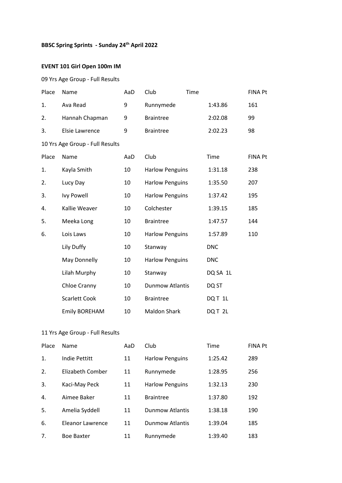# **BBSC Spring Sprints - Sunday 24th April 2022**

### **EVENT 101 Girl Open 100m IM**

#### 09 Yrs Age Group - Full Results

| Place | Name                            | AaD | Club                   | Time |            | <b>FINA Pt</b> |
|-------|---------------------------------|-----|------------------------|------|------------|----------------|
| 1.    | Ava Read                        | 9   | Runnymede              |      | 1:43.86    | 161            |
| 2.    | Hannah Chapman                  | 9   | <b>Braintree</b>       |      | 2:02.08    | 99             |
| 3.    | <b>Elsie Lawrence</b>           | 9   | <b>Braintree</b>       |      | 2:02.23    | 98             |
|       | 10 Yrs Age Group - Full Results |     |                        |      |            |                |
| Place | Name                            | AaD | Club                   |      | Time       | <b>FINA Pt</b> |
| 1.    | Kayla Smith                     | 10  | <b>Harlow Penguins</b> |      | 1:31.18    | 238            |
| 2.    | Lucy Day                        | 10  | <b>Harlow Penguins</b> |      | 1:35.50    | 207            |
| 3.    | Ivy Powell                      | 10  | <b>Harlow Penguins</b> |      | 1:37.42    | 195            |
| 4.    | Kallie Weaver                   | 10  | Colchester             |      | 1:39.15    | 185            |
| 5.    | Meeka Long                      | 10  | <b>Braintree</b>       |      | 1:47.57    | 144            |
| 6.    | Lois Laws                       | 10  | <b>Harlow Penguins</b> |      | 1:57.89    | 110            |
|       | Lily Duffy                      | 10  | Stanway                |      | <b>DNC</b> |                |
|       | May Donnelly                    | 10  | <b>Harlow Penguins</b> |      | <b>DNC</b> |                |
|       | Lilah Murphy                    | 10  | Stanway                |      | DQ SA 1L   |                |
|       | Chloe Cranny                    | 10  | <b>Dunmow Atlantis</b> |      | DQ ST      |                |
|       | <b>Scarlett Cook</b>            | 10  | <b>Braintree</b>       |      | DQT 1L     |                |
|       | <b>Emily BOREHAM</b>            | 10  | <b>Maldon Shark</b>    |      | DQT 2L     |                |

| Place | Name                    | AaD | Club                   | Time    | <b>FINA Pt</b> |
|-------|-------------------------|-----|------------------------|---------|----------------|
| 1.    | Indie Pettitt           | 11  | <b>Harlow Penguins</b> | 1:25.42 | 289            |
| 2.    | Elizabeth Comber        | 11  | Runnymede              | 1:28.95 | 256            |
| 3.    | Kaci-May Peck           | 11  | <b>Harlow Penguins</b> | 1:32.13 | 230            |
| 4.    | Aimee Baker             | 11  | <b>Braintree</b>       | 1:37.80 | 192            |
| 5.    | Amelia Syddell          | 11  | <b>Dunmow Atlantis</b> | 1:38.18 | 190            |
| 6.    | <b>Eleanor Lawrence</b> | 11  | <b>Dunmow Atlantis</b> | 1:39.04 | 185            |
| 7.    | <b>Boe Baxter</b>       | 11  | Runnymede              | 1:39.40 | 183            |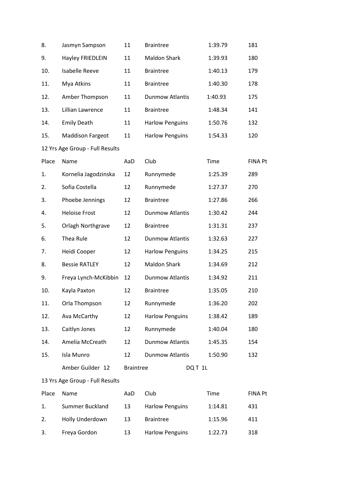| 8.    | Jasmyn Sampson                  | 11               | <b>Braintree</b>       | 1:39.79 | 181            |
|-------|---------------------------------|------------------|------------------------|---------|----------------|
| 9.    | <b>Hayley FRIEDLEIN</b>         | 11               | <b>Maldon Shark</b>    | 1:39.93 | 180            |
| 10.   | <b>Isabelle Reeve</b>           | 11               | <b>Braintree</b>       | 1:40.13 | 179            |
| 11.   | Mya Atkins                      | 11               | <b>Braintree</b>       | 1:40.30 | 178            |
| 12.   | Amber Thompson                  | 11               | <b>Dunmow Atlantis</b> | 1:40.93 | 175            |
| 13.   | Lillian Lawrence                | 11               | <b>Braintree</b>       | 1:48.34 | 141            |
| 14.   | <b>Emily Death</b>              | 11               | <b>Harlow Penguins</b> | 1:50.76 | 132            |
| 15.   | <b>Maddison Fargeot</b>         | 11               | <b>Harlow Penguins</b> | 1:54.33 | 120            |
|       | 12 Yrs Age Group - Full Results |                  |                        |         |                |
| Place | Name                            | AaD              | Club                   | Time    | <b>FINA Pt</b> |
| 1.    | Kornelia Jagodzinska            | 12               | Runnymede              | 1:25.39 | 289            |
| 2.    | Sofia Costella                  | 12               | Runnymede              | 1:27.37 | 270            |
| 3.    | Phoebe Jennings                 | 12               | <b>Braintree</b>       | 1:27.86 | 266            |
| 4.    | <b>Heloise Frost</b>            | 12               | <b>Dunmow Atlantis</b> | 1:30.42 | 244            |
| 5.    | Orlagh Northgrave               | 12               | <b>Braintree</b>       | 1:31.31 | 237            |
| 6.    | Thea Rule                       | 12               | <b>Dunmow Atlantis</b> | 1:32.63 | 227            |
| 7.    | Heidi Cooper                    | 12               | <b>Harlow Penguins</b> | 1:34.25 | 215            |
| 8.    | <b>Bessie RATLEY</b>            | 12               | <b>Maldon Shark</b>    | 1:34.69 | 212            |
| 9.    | Freya Lynch-McKibbin            | 12               | <b>Dunmow Atlantis</b> | 1:34.92 | 211            |
| 10.   | Kayla Paxton                    | 12               | <b>Braintree</b>       | 1:35.05 | 210            |
| 11.   | Orla Thompson                   | 12               | Runnymede              | 1:36.20 | 202            |
| 12.   | Ava McCarthy                    | 12               | <b>Harlow Penguins</b> | 1:38.42 | 189            |
| 13.   | Caitlyn Jones                   | 12               | Runnymede              | 1:40.04 | 180            |
| 14.   | Amelia McCreath                 | 12               | <b>Dunmow Atlantis</b> | 1:45.35 | 154            |
| 15.   | Isla Munro                      | 12               | <b>Dunmow Atlantis</b> | 1:50.90 | 132            |
|       | Amber Guilder 12                | <b>Braintree</b> | DQT <sub>1L</sub>      |         |                |
|       | 13 Yrs Age Group - Full Results |                  |                        |         |                |
| Place | Name                            | AaD              | Club                   | Time    | <b>FINA Pt</b> |
| 1.    | Summer Buckland                 | 13               | <b>Harlow Penguins</b> | 1:14.81 | 431            |
| 2.    | Holly Underdown                 | 13               | <b>Braintree</b>       | 1:15.96 | 411            |
| 3.    | Freya Gordon                    | 13               | <b>Harlow Penguins</b> | 1:22.73 | 318            |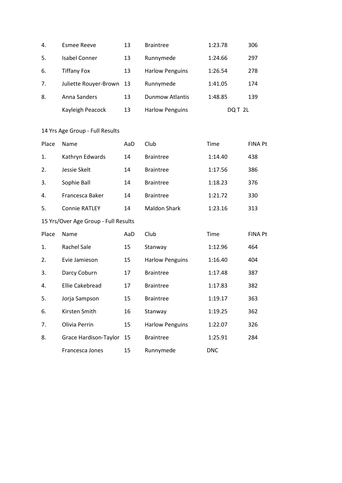| 4. | Esmee Reeve              | 13 | <b>Braintree</b>       | 1:23.78 | 306 |
|----|--------------------------|----|------------------------|---------|-----|
| 5. | Isabel Conner            | 13 | Runnymede              | 1:24.66 | 297 |
| 6. | <b>Tiffany Fox</b>       | 13 | <b>Harlow Penguins</b> | 1:26.54 | 278 |
| 7. | Juliette Rouyer-Brown 13 |    | Runnymede              | 1:41.05 | 174 |
| 8. | Anna Sanders             | 13 | Dunmow Atlantis        | 1:48.85 | 139 |
|    | Kayleigh Peacock         | 13 | <b>Harlow Penguins</b> | DQT 2L  |     |

| Place | Name                 | AaD | Club                | Time    | <b>FINA Pt</b> |
|-------|----------------------|-----|---------------------|---------|----------------|
| 1.    | Kathryn Edwards      | 14  | <b>Braintree</b>    | 1:14.40 | 438            |
| 2.    | Jessie Skelt         | 14  | <b>Braintree</b>    | 1:17.56 | 386            |
| 3.    | Sophie Ball          | 14  | <b>Braintree</b>    | 1:18.23 | 376            |
| 4.    | Francesca Baker      | 14  | <b>Braintree</b>    | 1:21.72 | 330            |
| 5.    | <b>Connie RATLEY</b> | 14  | <b>Maldon Shark</b> | 1:23.16 | 313            |

| Place | Name                     | AaD | Club                   | Time       | <b>FINA Pt</b> |
|-------|--------------------------|-----|------------------------|------------|----------------|
| 1.    | <b>Rachel Sale</b>       | 15  | Stanway                | 1:12.96    | 464            |
| 2.    | Evie Jamieson            | 15  | <b>Harlow Penguins</b> | 1:16.40    | 404            |
| 3.    | Darcy Coburn             | 17  | <b>Braintree</b>       | 1:17.48    | 387            |
| 4.    | <b>Ellie Cakebread</b>   | 17  | <b>Braintree</b>       | 1:17.83    | 382            |
| 5.    | Jorja Sampson            | 15  | <b>Braintree</b>       | 1:19.17    | 363            |
| 6.    | Kirsten Smith            | 16  | Stanway                | 1:19.25    | 362            |
| 7.    | Olivia Perrin            | 15  | <b>Harlow Penguins</b> | 1:22.07    | 326            |
| 8.    | Grace Hardison-Taylor 15 |     | <b>Braintree</b>       | 1:25.91    | 284            |
|       | Francesca Jones          | 15  | Runnymede              | <b>DNC</b> |                |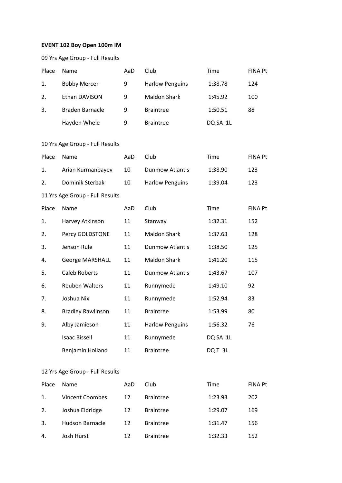#### **EVENT 102 Boy Open 100m IM**

|       | 09 Yrs Age Group - Full Results |     |                        |          |                |
|-------|---------------------------------|-----|------------------------|----------|----------------|
| Place | Name                            | AaD | Club                   | Time     | <b>FINA Pt</b> |
| 1.    | <b>Bobby Mercer</b>             | 9   | <b>Harlow Penguins</b> | 1:38.78  | 124            |
| 2.    | Ethan DAVISON                   | 9   | <b>Maldon Shark</b>    | 1:45.92  | 100            |
| 3.    | <b>Braden Barnacle</b>          | 9   | <b>Braintree</b>       | 1:50.51  | 88             |
|       | Hayden Whele                    | 9   | <b>Braintree</b>       | DQ SA 1L |                |
|       | 10 Yrs Age Group - Full Results |     |                        |          |                |
| Place | Name                            | AaD | Club                   | Time     | <b>FINA Pt</b> |
| 1.    | Arian Kurmanbayev               | 10  | <b>Dunmow Atlantis</b> | 1:38.90  | 123            |
| 2.    | Dominik Sterbak                 | 10  | <b>Harlow Penguins</b> | 1:39.04  | 123            |
|       | 11 Yrs Age Group - Full Results |     |                        |          |                |
| Place | Name                            | AaD | Club                   | Time     | <b>FINA Pt</b> |
| 1.    |                                 |     |                        |          | 152            |
|       | Harvey Atkinson                 | 11  | Stanway                | 1:32.31  |                |
| 2.    | Percy GOLDSTONE                 | 11  | Maldon Shark           | 1:37.63  | 128            |
| 3.    | Jenson Rule                     | 11  | <b>Dunmow Atlantis</b> | 1:38.50  | 125            |
| 4.    | George MARSHALL                 | 11  | <b>Maldon Shark</b>    | 1:41.20  | 115            |
| 5.    | <b>Caleb Roberts</b>            | 11  | <b>Dunmow Atlantis</b> | 1:43.67  | 107            |
| 6.    | <b>Reuben Walters</b>           | 11  | Runnymede              | 1:49.10  | 92             |
| 7.    | Joshua Nix                      | 11  | Runnymede              | 1:52.94  | 83             |
| 8.    | <b>Bradley Rawlinson</b>        | 11  | Braintree              | 1:53.99  | 80             |
| 9.    | Alby Jamieson                   | 11  | <b>Harlow Penguins</b> | 1:56.32  | 76             |
|       | <b>Isaac Bissell</b>            | 11  | Runnymede              | DQ SA 1L |                |
|       | Benjamin Holland                | 11  | <b>Braintree</b>       | DQT3L    |                |
|       | 12 Yrs Age Group - Full Results |     |                        |          |                |
| Place | Name                            | AaD | Club                   | Time     | FINA Pt        |
| 1.    | Vincent Coombes                 | 12  | <b>Braintree</b>       | 1:23.93  | 202            |
| 2.    | Joshua Eldridge                 | 12  | <b>Braintree</b>       | 1:29.07  | 169            |
| 3.    | Hudson Barnacle                 | 12  | <b>Braintree</b>       | 1:31.47  | 156            |
| 4.    | Josh Hurst                      | 12  | <b>Braintree</b>       | 1:32.33  | 152            |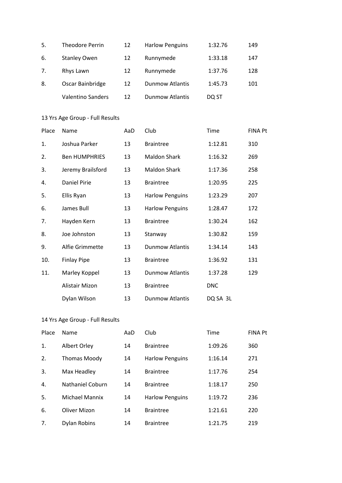| 5. | Theodore Perrin          | 12 | <b>Harlow Penguins</b> | 1:32.76 | 149 |
|----|--------------------------|----|------------------------|---------|-----|
| 6. | <b>Stanley Owen</b>      | 12 | Runnymede              | 1:33.18 | 147 |
| 7. | Rhys Lawn                | 12 | Runnymede              | 1:37.76 | 128 |
| 8. | Oscar Bainbridge         | 12 | <b>Dunmow Atlantis</b> | 1:45.73 | 101 |
|    | <b>Valentino Sanders</b> | 12 | <b>Dunmow Atlantis</b> | DQ ST   |     |

| Place | Name                 | AaD | Club                   | <b>Time</b> | <b>FINA Pt</b> |
|-------|----------------------|-----|------------------------|-------------|----------------|
| 1.    | Joshua Parker        | 13  | <b>Braintree</b>       | 1:12.81     | 310            |
| 2.    | <b>Ben HUMPHRIES</b> | 13  | <b>Maldon Shark</b>    | 1:16.32     | 269            |
| 3.    | Jeremy Brailsford    | 13  | <b>Maldon Shark</b>    | 1:17.36     | 258            |
| 4.    | <b>Daniel Pirie</b>  | 13  | <b>Braintree</b>       | 1:20.95     | 225            |
| 5.    | Ellis Ryan           | 13  | <b>Harlow Penguins</b> | 1:23.29     | 207            |
| 6.    | James Bull           | 13  | <b>Harlow Penguins</b> | 1:28.47     | 172            |
| 7.    | Hayden Kern          | 13  | <b>Braintree</b>       | 1:30.24     | 162            |
| 8.    | Joe Johnston         | 13  | Stanway                | 1:30.82     | 159            |
| 9.    | Alfie Grimmette      | 13  | <b>Dunmow Atlantis</b> | 1:34.14     | 143            |
| 10.   | <b>Finlay Pipe</b>   | 13  | <b>Braintree</b>       | 1:36.92     | 131            |
| 11.   | Marley Koppel        | 13  | <b>Dunmow Atlantis</b> | 1:37.28     | 129            |
|       | Alistair Mizon       | 13  | <b>Braintree</b>       | <b>DNC</b>  |                |
|       | Dylan Wilson         | 13  | <b>Dunmow Atlantis</b> | DQ SA 3L    |                |

| Place | Name                  | AaD | Club                   | Time    | <b>FINA Pt</b> |
|-------|-----------------------|-----|------------------------|---------|----------------|
| 1.    | Albert Orley          | 14  | <b>Braintree</b>       | 1:09.26 | 360            |
| 2.    | <b>Thomas Moody</b>   | 14  | <b>Harlow Penguins</b> | 1:16.14 | 271            |
| 3.    | Max Headley           | 14  | <b>Braintree</b>       | 1:17.76 | 254            |
| 4.    | Nathaniel Coburn      | 14  | <b>Braintree</b>       | 1:18.17 | 250            |
| 5.    | <b>Michael Mannix</b> | 14  | <b>Harlow Penguins</b> | 1:19.72 | 236            |
| 6.    | Oliver Mizon          | 14  | <b>Braintree</b>       | 1:21.61 | 220            |
| 7.    | <b>Dylan Robins</b>   | 14  | <b>Braintree</b>       | 1:21.75 | 219            |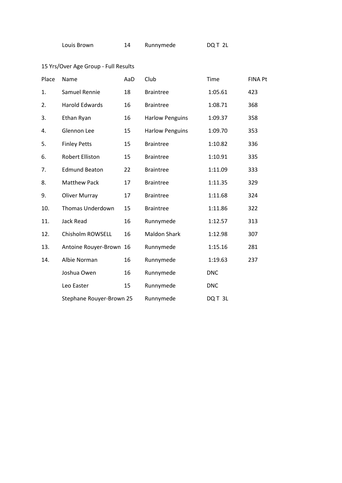| Louis Brown |  | Runnymede | DQT 2L |
|-------------|--|-----------|--------|
|-------------|--|-----------|--------|

| Place | Name                     | AaD | Club                   | Time       | <b>FINA Pt</b> |
|-------|--------------------------|-----|------------------------|------------|----------------|
| 1.    | Samuel Rennie            | 18  | <b>Braintree</b>       | 1:05.61    | 423            |
| 2.    | <b>Harold Edwards</b>    | 16  | <b>Braintree</b>       | 1:08.71    | 368            |
| 3.    | Ethan Ryan               | 16  | <b>Harlow Penguins</b> | 1:09.37    | 358            |
| 4.    | Glennon Lee              | 15  | <b>Harlow Penguins</b> | 1:09.70    | 353            |
| 5.    | <b>Finley Petts</b>      | 15  | <b>Braintree</b>       | 1:10.82    | 336            |
| 6.    | <b>Robert Elliston</b>   | 15  | <b>Braintree</b>       | 1:10.91    | 335            |
| 7.    | <b>Edmund Beaton</b>     | 22  | <b>Braintree</b>       | 1:11.09    | 333            |
| 8.    | <b>Matthew Pack</b>      | 17  | <b>Braintree</b>       | 1:11.35    | 329            |
| 9.    | <b>Oliver Murray</b>     | 17  | <b>Braintree</b>       | 1:11.68    | 324            |
| 10.   | <b>Thomas Underdown</b>  | 15  | <b>Braintree</b>       | 1:11.86    | 322            |
| 11.   | Jack Read                | 16  | Runnymede              | 1:12.57    | 313            |
| 12.   | Chisholm ROWSELL         | 16  | <b>Maldon Shark</b>    | 1:12.98    | 307            |
| 13.   | Antoine Rouyer-Brown 16  |     | Runnymede              | 1:15.16    | 281            |
| 14.   | Albie Norman             | 16  | Runnymede              | 1:19.63    | 237            |
|       | Joshua Owen              | 16  | Runnymede              | <b>DNC</b> |                |
|       | Leo Easter               | 15  | Runnymede              | <b>DNC</b> |                |
|       | Stephane Rouyer-Brown 25 |     | Runnymede              | DQT3L      |                |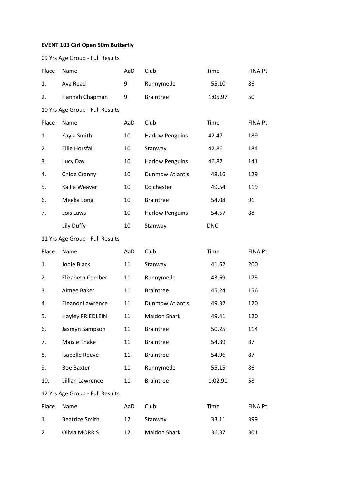## **EVENT 103 Girl Open 50m Butterfly**

| 09 Yrs Age Group - Full Results |  |          |  |  |  |  |
|---------------------------------|--|----------|--|--|--|--|
| Place Name                      |  | AaD Club |  |  |  |  |

| 1.    | Ava Read                        | 9   | Runnymede              | 55.10      | 86             |
|-------|---------------------------------|-----|------------------------|------------|----------------|
| 2.    | Hannah Chapman                  | 9   | <b>Braintree</b>       | 1:05.97    | 50             |
|       | 10 Yrs Age Group - Full Results |     |                        |            |                |
| Place | Name                            | AaD | Club                   | Time       | <b>FINA Pt</b> |
| 1.    | Kayla Smith                     | 10  | <b>Harlow Penguins</b> | 42.47      | 189            |
| 2.    | <b>Ellie Horsfall</b>           | 10  | Stanway                | 42.86      | 184            |
| 3.    | Lucy Day                        | 10  | <b>Harlow Penguins</b> | 46.82      | 141            |
| 4.    | Chloe Cranny                    | 10  | <b>Dunmow Atlantis</b> | 48.16      | 129            |
| 5.    | Kallie Weaver                   | 10  | Colchester             | 49.54      | 119            |
| 6.    | Meeka Long                      | 10  | <b>Braintree</b>       | 54.08      | 91             |
| 7.    | Lois Laws                       | 10  | <b>Harlow Penguins</b> | 54.67      | 88             |
|       | Lily Duffy                      | 10  | Stanway                | <b>DNC</b> |                |
|       | 11 Yrs Age Group - Full Results |     |                        |            |                |
| Place | Name                            | AaD | Club                   | Time       | <b>FINA Pt</b> |
| 1.    | Jodie Black                     | 11  | Stanway                | 41.62      | 200            |
| 2.    | Elizabeth Comber                | 11  | Runnymede              | 43.69      | 173            |
| 3.    | Aimee Baker                     | 11  | <b>Braintree</b>       | 45.24      | 156            |
| 4.    | <b>Eleanor Lawrence</b>         | 11  | <b>Dunmow Atlantis</b> | 49.32      | 120            |
| 5.    | Hayley FRIEDLEIN                | 11  | <b>Maldon Shark</b>    | 49.41      | 120            |
| 6.    | Jasmyn Sampson                  | 11  | <b>Braintree</b>       | 50.25      | 114            |
| 7.    | Maisie Thake                    | 11  | <b>Braintree</b>       | 54.89      | 87             |
| 8.    | <b>Isabelle Reeve</b>           | 11  | <b>Braintree</b>       | 54.96      | 87             |
| 9.    | <b>Boe Baxter</b>               | 11  | Runnymede              | 55.15      | 86             |
| 10.   | Lillian Lawrence                | 11  | <b>Braintree</b>       | 1:02.91    | 58             |
|       | 12 Yrs Age Group - Full Results |     |                        |            |                |
| Place | Name                            | AaD | Club                   | Time       | <b>FINA Pt</b> |
| 1.    | <b>Beatrice Smith</b>           | 12  | Stanway                | 33.11      | 399            |
| 2.    | <b>Olivia MORRIS</b>            | 12  | <b>Maldon Shark</b>    | 36.37      | 301            |

Time FINA Pt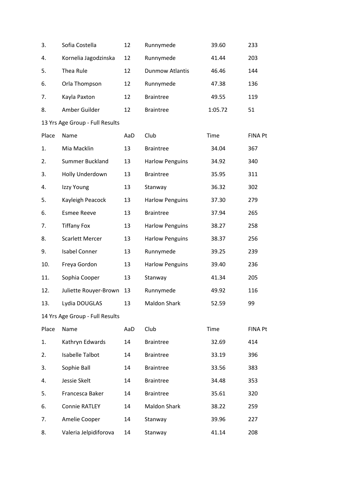| 3.    | Sofia Costella                  | 12  | Runnymede              | 39.60   | 233            |
|-------|---------------------------------|-----|------------------------|---------|----------------|
| 4.    | Kornelia Jagodzinska            | 12  | Runnymede              | 41.44   | 203            |
| 5.    | Thea Rule                       | 12  | <b>Dunmow Atlantis</b> | 46.46   | 144            |
| 6.    | Orla Thompson                   | 12  | Runnymede              | 47.38   | 136            |
| 7.    | Kayla Paxton                    | 12  | <b>Braintree</b>       | 49.55   | 119            |
| 8.    | Amber Guilder                   | 12  | <b>Braintree</b>       | 1:05.72 | 51             |
|       | 13 Yrs Age Group - Full Results |     |                        |         |                |
| Place | Name                            | AaD | Club                   | Time    | <b>FINA Pt</b> |
| 1.    | Mia Macklin                     | 13  | <b>Braintree</b>       | 34.04   | 367            |
| 2.    | Summer Buckland                 | 13  | <b>Harlow Penguins</b> | 34.92   | 340            |
| 3.    | Holly Underdown                 | 13  | <b>Braintree</b>       | 35.95   | 311            |
| 4.    | Izzy Young                      | 13  | Stanway                | 36.32   | 302            |
| 5.    | Kayleigh Peacock                | 13  | <b>Harlow Penguins</b> | 37.30   | 279            |
| 6.    | <b>Esmee Reeve</b>              | 13  | <b>Braintree</b>       | 37.94   | 265            |
| 7.    | <b>Tiffany Fox</b>              | 13  | <b>Harlow Penguins</b> | 38.27   | 258            |
| 8.    | <b>Scarlett Mercer</b>          | 13  | <b>Harlow Penguins</b> | 38.37   | 256            |
| 9.    | <b>Isabel Conner</b>            | 13  | Runnymede              | 39.25   | 239            |
| 10.   | Freya Gordon                    | 13  | <b>Harlow Penguins</b> | 39.40   | 236            |
| 11.   | Sophia Cooper                   | 13  | Stanway                | 41.34   | 205            |
| 12.   | Juliette Rouyer-Brown           | 13  | Runnymede              | 49.92   | 116            |
| 13.   | Lydia DOUGLAS                   | 13  | <b>Maldon Shark</b>    | 52.59   | 99             |
|       | 14 Yrs Age Group - Full Results |     |                        |         |                |
| Place | Name                            | AaD | Club                   | Time    | <b>FINA Pt</b> |
| 1.    | Kathryn Edwards                 | 14  | <b>Braintree</b>       | 32.69   | 414            |
| 2.    | <b>Isabelle Talbot</b>          | 14  | <b>Braintree</b>       | 33.19   | 396            |
| 3.    | Sophie Ball                     | 14  | <b>Braintree</b>       | 33.56   | 383            |
| 4.    | Jessie Skelt                    | 14  | <b>Braintree</b>       | 34.48   | 353            |
| 5.    | Francesca Baker                 | 14  | <b>Braintree</b>       | 35.61   | 320            |
| 6.    | <b>Connie RATLEY</b>            | 14  | <b>Maldon Shark</b>    | 38.22   | 259            |
| 7.    | Amelie Cooper                   | 14  | Stanway                | 39.96   | 227            |
| 8.    | Valeria Jelpidiforova           | 14  | Stanway                | 41.14   | 208            |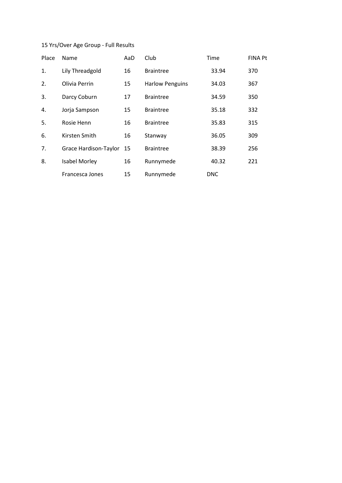| Place | Name                  | AaD | Club                   | Time       | <b>FINA Pt</b> |
|-------|-----------------------|-----|------------------------|------------|----------------|
| 1.    | Lily Threadgold       | 16  | <b>Braintree</b>       | 33.94      | 370            |
| 2.    | Olivia Perrin         | 15  | <b>Harlow Penguins</b> | 34.03      | 367            |
| 3.    | Darcy Coburn          | 17  | <b>Braintree</b>       | 34.59      | 350            |
| 4.    | Jorja Sampson         | 15  | <b>Braintree</b>       | 35.18      | 332            |
| 5.    | Rosie Henn            | 16  | <b>Braintree</b>       | 35.83      | 315            |
| 6.    | Kirsten Smith         | 16  | Stanway                | 36.05      | 309            |
| 7.    | Grace Hardison-Taylor | -15 | <b>Braintree</b>       | 38.39      | 256            |
| 8.    | <b>Isabel Morley</b>  | 16  | Runnymede              | 40.32      | 221            |
|       | Francesca Jones       | 15  | Runnymede              | <b>DNC</b> |                |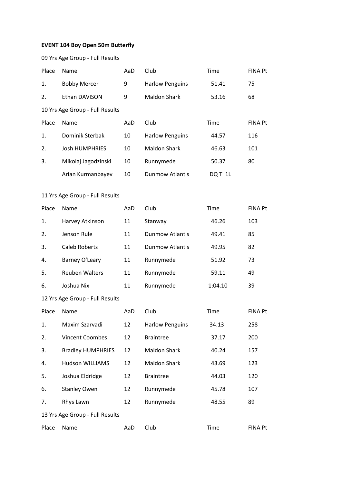## **EVENT 104 Boy Open 50m Butterfly**

09 Yrs Age Group - Full Results

| Place | Name                            | AaD | Club                   | Time   | <b>FINA Pt</b> |
|-------|---------------------------------|-----|------------------------|--------|----------------|
| 1.    | <b>Bobby Mercer</b>             | 9   | <b>Harlow Penguins</b> | 51.41  | 75             |
| 2.    | Ethan DAVISON                   | 9   | <b>Maldon Shark</b>    | 53.16  | 68             |
|       | 10 Yrs Age Group - Full Results |     |                        |        |                |
| Place | Name                            | AaD | Club                   | Time   | <b>FINA Pt</b> |
| 1.    | Dominik Sterbak                 | 10  | <b>Harlow Penguins</b> | 44.57  | 116            |
| 2.    | <b>Josh HUMPHRIES</b>           | 10  | <b>Maldon Shark</b>    | 46.63  | 101            |
| 3.    | Mikolaj Jagodzinski             | 10  | Runnymede              | 50.37  | 80             |
|       | Arian Kurmanbayev               | 10  | Dunmow Atlantis        | DQT 1L |                |

### 11 Yrs Age Group - Full Results

| Place | Name                  | AaD | Club                   | Time    | <b>FINA Pt</b> |
|-------|-----------------------|-----|------------------------|---------|----------------|
| 1.    | Harvey Atkinson       | 11  | Stanway                | 46.26   | 103            |
| 2.    | Jenson Rule           | 11  | <b>Dunmow Atlantis</b> | 49.41   | 85             |
| 3.    | Caleb Roberts         | 11  | <b>Dunmow Atlantis</b> | 49.95   | 82             |
| 4.    | Barney O'Leary        | 11  | Runnymede              | 51.92   | 73             |
| 5.    | <b>Reuben Walters</b> | 11  | Runnymede              | 59.11   | 49             |
| 6.    | Joshua Nix            | 11  | Runnymede              | 1:04.10 | 39             |

| Place | <b>Name</b>                     | AaD | Club                   | Time  | <b>FINA Pt</b> |
|-------|---------------------------------|-----|------------------------|-------|----------------|
| 1.    | Maxim Szarvadi                  | 12  | <b>Harlow Penguins</b> | 34.13 | 258            |
| 2.    | <b>Vincent Coombes</b>          | 12  | <b>Braintree</b>       | 37.17 | 200            |
| 3.    | <b>Bradley HUMPHRIES</b>        | 12  | <b>Maldon Shark</b>    | 40.24 | 157            |
| 4.    | <b>Hudson WILLIAMS</b>          | 12  | <b>Maldon Shark</b>    | 43.69 | 123            |
| 5.    | Joshua Eldridge                 | 12  | <b>Braintree</b>       | 44.03 | 120            |
| 6.    | <b>Stanley Owen</b>             | 12  | Runnymede              | 45.78 | 107            |
| 7.    | Rhys Lawn                       | 12  | Runnymede              | 48.55 | 89             |
|       | 13 Yrs Age Group - Full Results |     |                        |       |                |
| Place | Name                            | AaD | Club                   | Time  | <b>FINA Pt</b> |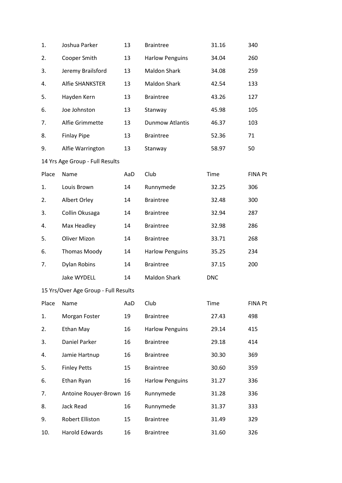| 1.    | Joshua Parker                        | 13  | <b>Braintree</b>       | 31.16      | 340            |
|-------|--------------------------------------|-----|------------------------|------------|----------------|
| 2.    | Cooper Smith                         | 13  | <b>Harlow Penguins</b> | 34.04      | 260            |
| 3.    | Jeremy Brailsford                    | 13  | Maldon Shark           | 34.08      | 259            |
| 4.    | <b>Alfie SHANKSTER</b>               | 13  | Maldon Shark           | 42.54      | 133            |
| 5.    | Hayden Kern                          | 13  | <b>Braintree</b>       | 43.26      | 127            |
| 6.    | Joe Johnston                         | 13  | Stanway                | 45.98      | 105            |
| 7.    | Alfie Grimmette                      | 13  | <b>Dunmow Atlantis</b> | 46.37      | 103            |
| 8.    | <b>Finlay Pipe</b>                   | 13  | <b>Braintree</b>       | 52.36      | 71             |
| 9.    | Alfie Warrington                     | 13  | Stanway                | 58.97      | 50             |
|       | 14 Yrs Age Group - Full Results      |     |                        |            |                |
| Place | Name                                 | AaD | Club                   | Time       | <b>FINA Pt</b> |
| 1.    | Louis Brown                          | 14  | Runnymede              | 32.25      | 306            |
| 2.    | Albert Orley                         | 14  | <b>Braintree</b>       | 32.48      | 300            |
| 3.    | Collin Okusaga                       | 14  | <b>Braintree</b>       | 32.94      | 287            |
| 4.    | Max Headley                          | 14  | <b>Braintree</b>       | 32.98      | 286            |
| 5.    | <b>Oliver Mizon</b>                  | 14  | <b>Braintree</b>       | 33.71      | 268            |
| 6.    | <b>Thomas Moody</b>                  | 14  | <b>Harlow Penguins</b> | 35.25      | 234            |
| 7.    | <b>Dylan Robins</b>                  | 14  | <b>Braintree</b>       | 37.15      | 200            |
|       | Jake WYDELL                          | 14  | Maldon Shark           | <b>DNC</b> |                |
|       | 15 Yrs/Over Age Group - Full Results |     |                        |            |                |
| Place | Name                                 | AaD | Club                   | Time       | <b>FINA Pt</b> |
| 1.    | Morgan Foster                        | 19  | <b>Braintree</b>       | 27.43      | 498            |
| 2.    | Ethan May                            | 16  | <b>Harlow Penguins</b> | 29.14      | 415            |
| 3.    | Daniel Parker                        | 16  | <b>Braintree</b>       | 29.18      | 414            |
| 4.    | Jamie Hartnup                        | 16  | <b>Braintree</b>       | 30.30      | 369            |
| 5.    | <b>Finley Petts</b>                  | 15  | <b>Braintree</b>       | 30.60      | 359            |
| 6.    | Ethan Ryan                           | 16  | <b>Harlow Penguins</b> | 31.27      | 336            |
| 7.    | Antoine Rouyer-Brown 16              |     | Runnymede              | 31.28      | 336            |
| 8.    | Jack Read                            | 16  | Runnymede              | 31.37      | 333            |
| 9.    | Robert Elliston                      | 15  | <b>Braintree</b>       | 31.49      | 329            |
| 10.   | Harold Edwards                       | 16  | <b>Braintree</b>       | 31.60      | 326            |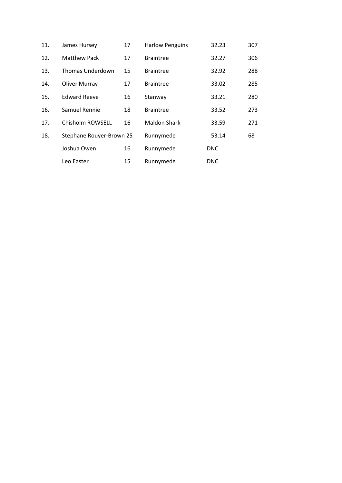| 11. | James Hursey             | 17 | <b>Harlow Penguins</b> | 32.23      | 307 |
|-----|--------------------------|----|------------------------|------------|-----|
| 12. | <b>Matthew Pack</b>      | 17 | <b>Braintree</b>       | 32.27      | 306 |
| 13. | Thomas Underdown         | 15 | <b>Braintree</b>       | 32.92      | 288 |
| 14. | <b>Oliver Murray</b>     | 17 | <b>Braintree</b>       | 33.02      | 285 |
| 15. | <b>Edward Reeve</b>      | 16 | Stanway                | 33.21      | 280 |
| 16. | Samuel Rennie            | 18 | <b>Braintree</b>       | 33.52      | 273 |
| 17. | Chisholm ROWSELL         | 16 | <b>Maldon Shark</b>    | 33.59      | 271 |
| 18. | Stephane Rouyer-Brown 25 |    | Runnymede              | 53.14      | 68  |
|     | Joshua Owen              | 16 | Runnymede              | <b>DNC</b> |     |
|     | Leo Easter               | 15 | Runnymede              | <b>DNC</b> |     |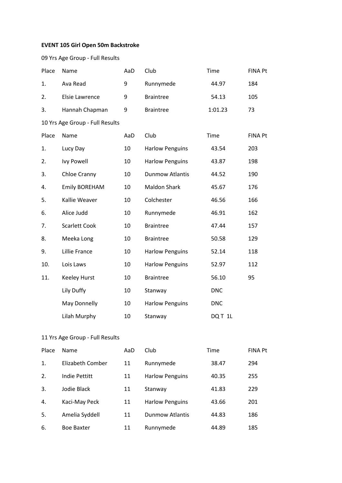## **EVENT 105 Girl Open 50m Backstroke**

|       | 09 Yrs Age Group - Full Results |     |                        |            |                |
|-------|---------------------------------|-----|------------------------|------------|----------------|
| Place | Name                            | AaD | Club                   | Time       | <b>FINA Pt</b> |
| 1.    | Ava Read                        | 9   | Runnymede              | 44.97      | 184            |
| 2.    | Elsie Lawrence                  | 9   | <b>Braintree</b>       | 54.13      | 105            |
| 3.    | Hannah Chapman                  | 9   | <b>Braintree</b>       | 1:01.23    | 73             |
|       | 10 Yrs Age Group - Full Results |     |                        |            |                |
| Place | Name                            | AaD | Club                   | Time       | <b>FINA Pt</b> |
| 1.    | Lucy Day                        | 10  | <b>Harlow Penguins</b> | 43.54      | 203            |
| 2.    | <b>Ivy Powell</b>               | 10  | <b>Harlow Penguins</b> | 43.87      | 198            |
| 3.    | Chloe Cranny                    | 10  | <b>Dunmow Atlantis</b> | 44.52      | 190            |
| 4.    | <b>Emily BOREHAM</b>            | 10  | <b>Maldon Shark</b>    | 45.67      | 176            |
| 5.    | Kallie Weaver                   | 10  | Colchester             | 46.56      | 166            |
| 6.    | Alice Judd                      | 10  | Runnymede              | 46.91      | 162            |
| 7.    | <b>Scarlett Cook</b>            | 10  | <b>Braintree</b>       | 47.44      | 157            |
| 8.    | Meeka Long                      | 10  | <b>Braintree</b>       | 50.58      | 129            |
| 9.    | Lillie France                   | 10  | <b>Harlow Penguins</b> | 52.14      | 118            |
| 10.   | Lois Laws                       | 10  | <b>Harlow Penguins</b> | 52.97      | 112            |
| 11.   | <b>Keeley Hurst</b>             | 10  | <b>Braintree</b>       | 56.10      | 95             |
|       | Lily Duffy                      | 10  | Stanway                | <b>DNC</b> |                |
|       | May Donnelly                    | 10  | <b>Harlow Penguins</b> | <b>DNC</b> |                |
|       | Lilah Murphy                    | 10  | Stanway                | DQ T 1L    |                |

| Place | Name              | AaD | Club                   | Time  | <b>FINA Pt</b> |
|-------|-------------------|-----|------------------------|-------|----------------|
| 1.    | Elizabeth Comber  | 11  | Runnymede              | 38.47 | 294            |
| 2.    | Indie Pettitt     | 11  | <b>Harlow Penguins</b> | 40.35 | 255            |
| 3.    | Jodie Black       | 11  | Stanway                | 41.83 | 229            |
| 4.    | Kaci-May Peck     | 11  | <b>Harlow Penguins</b> | 43.66 | 201            |
| 5.    | Amelia Syddell    | 11  | <b>Dunmow Atlantis</b> | 44.83 | 186            |
| 6.    | <b>Boe Baxter</b> | 11  | Runnymede              | 44.89 | 185            |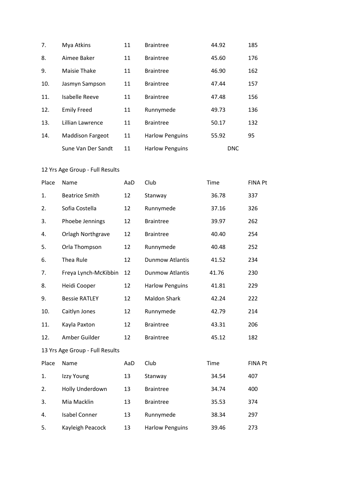| 7.  | Mya Atkins              | 11 | <b>Braintree</b>       | 44.92      | 185 |
|-----|-------------------------|----|------------------------|------------|-----|
| 8.  | Aimee Baker             | 11 | <b>Braintree</b>       | 45.60      | 176 |
| 9.  | Maisie Thake            | 11 | <b>Braintree</b>       | 46.90      | 162 |
| 10. | Jasmyn Sampson          | 11 | <b>Braintree</b>       | 47.44      | 157 |
| 11. | Isabelle Reeve          | 11 | <b>Braintree</b>       | 47.48      | 156 |
| 12. | <b>Emily Freed</b>      | 11 | Runnymede              | 49.73      | 136 |
| 13. | Lillian Lawrence        | 11 | <b>Braintree</b>       | 50.17      | 132 |
| 14. | <b>Maddison Fargeot</b> | 11 | <b>Harlow Penguins</b> | 55.92      | 95  |
|     | Sune Van Der Sandt      | 11 | <b>Harlow Penguins</b> | <b>DNC</b> |     |

| Place | Name                            | AaD | Club                   | Time  | <b>FINA Pt</b> |
|-------|---------------------------------|-----|------------------------|-------|----------------|
| 1.    | <b>Beatrice Smith</b>           | 12  | Stanway                | 36.78 | 337            |
| 2.    | Sofia Costella                  | 12  | Runnymede              | 37.16 | 326            |
| 3.    | Phoebe Jennings                 | 12  | <b>Braintree</b>       | 39.97 | 262            |
| 4.    | Orlagh Northgrave               | 12  | <b>Braintree</b>       | 40.40 | 254            |
| 5.    | Orla Thompson                   | 12  | Runnymede              | 40.48 | 252            |
| 6.    | Thea Rule                       | 12  | <b>Dunmow Atlantis</b> | 41.52 | 234            |
| 7.    | Freya Lynch-McKibbin            | 12  | <b>Dunmow Atlantis</b> | 41.76 | 230            |
| 8.    | Heidi Cooper                    | 12  | <b>Harlow Penguins</b> | 41.81 | 229            |
| 9.    | <b>Bessie RATLEY</b>            | 12  | <b>Maldon Shark</b>    | 42.24 | 222            |
| 10.   | Caitlyn Jones                   | 12  | Runnymede              | 42.79 | 214            |
| 11.   | Kayla Paxton                    | 12  | <b>Braintree</b>       | 43.31 | 206            |
| 12.   | Amber Guilder                   | 12  | <b>Braintree</b>       | 45.12 | 182            |
|       | 13 Yrs Age Group - Full Results |     |                        |       |                |
| Place | Name                            | AaD | Club                   | Time  | FINA Pt        |
| 1.    | Izzy Young                      | 13  | Stanway                | 34.54 | 407            |
| 2.    | Holly Underdown                 | 13  | <b>Braintree</b>       | 34.74 | 400            |
| 3.    | Mia Macklin                     | 13  | <b>Braintree</b>       | 35.53 | 374            |
| 4.    | <b>Isabel Conner</b>            | 13  | Runnymede              | 38.34 | 297            |
| 5.    | Kayleigh Peacock                | 13  | <b>Harlow Penguins</b> | 39.46 | 273            |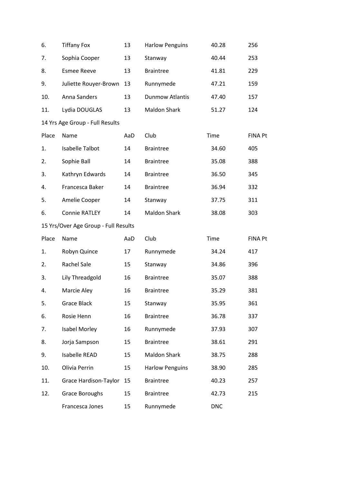| 6.    | <b>Tiffany Fox</b>                   | 13  | <b>Harlow Penguins</b> | 40.28      | 256            |
|-------|--------------------------------------|-----|------------------------|------------|----------------|
| 7.    | Sophia Cooper                        | 13  | Stanway                | 40.44      | 253            |
| 8.    | <b>Esmee Reeve</b>                   | 13  | <b>Braintree</b>       | 41.81      | 229            |
| 9.    | Juliette Rouyer-Brown                | 13  | Runnymede              | 47.21      | 159            |
| 10.   | Anna Sanders                         | 13  | <b>Dunmow Atlantis</b> | 47.40      | 157            |
| 11.   | Lydia DOUGLAS                        | 13  | <b>Maldon Shark</b>    | 51.27      | 124            |
|       | 14 Yrs Age Group - Full Results      |     |                        |            |                |
| Place | Name                                 | AaD | Club                   | Time       | <b>FINA Pt</b> |
| 1.    | <b>Isabelle Talbot</b>               | 14  | <b>Braintree</b>       | 34.60      | 405            |
| 2.    | Sophie Ball                          | 14  | <b>Braintree</b>       | 35.08      | 388            |
| 3.    | Kathryn Edwards                      | 14  | <b>Braintree</b>       | 36.50      | 345            |
| 4.    | Francesca Baker                      | 14  | <b>Braintree</b>       | 36.94      | 332            |
| 5.    | Amelie Cooper                        | 14  | Stanway                | 37.75      | 311            |
| 6.    | <b>Connie RATLEY</b>                 | 14  | <b>Maldon Shark</b>    | 38.08      | 303            |
|       | 15 Yrs/Over Age Group - Full Results |     |                        |            |                |
| Place | Name                                 | AaD | Club                   | Time       | <b>FINA Pt</b> |
| 1.    | Robyn Quince                         | 17  | Runnymede              | 34.24      | 417            |
| 2.    | <b>Rachel Sale</b>                   | 15  | Stanway                | 34.86      | 396            |
| 3.    | Lily Threadgold                      | 16  | <b>Braintree</b>       | 35.07      | 388            |
| 4.    | Marcie Aley                          | 16  | <b>Braintree</b>       | 35.29      | 381            |
| 5.    | <b>Grace Black</b>                   | 15  | Stanway                | 35.95      | 361            |
| 6.    | Rosie Henn                           | 16  | <b>Braintree</b>       | 36.78      | 337            |
| 7.    | <b>Isabel Morley</b>                 | 16  | Runnymede              | 37.93      | 307            |
| 8.    | Jorja Sampson                        | 15  | <b>Braintree</b>       | 38.61      | 291            |
| 9.    | <b>Isabelle READ</b>                 | 15  | <b>Maldon Shark</b>    | 38.75      | 288            |
| 10.   | Olivia Perrin                        | 15  | <b>Harlow Penguins</b> | 38.90      | 285            |
| 11.   | Grace Hardison-Taylor                | 15  | <b>Braintree</b>       | 40.23      | 257            |
| 12.   | Grace Boroughs                       | 15  | <b>Braintree</b>       | 42.73      | 215            |
|       | Francesca Jones                      | 15  | Runnymede              | <b>DNC</b> |                |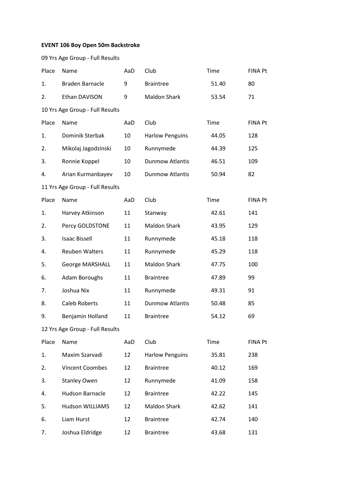### **EVENT 106 Boy Open 50m Backstroke**

|                | 09 Yrs Age Group - Full Results           |     |                        |       |                |
|----------------|-------------------------------------------|-----|------------------------|-------|----------------|
| Place          | Name                                      | AaD | Club                   | Time  | <b>FINA Pt</b> |
| 1.             | <b>Braden Barnacle</b>                    | 9   | <b>Braintree</b>       | 51.40 | 80             |
| 2.             | Ethan DAVISON                             | 9   | <b>Maldon Shark</b>    | 53.54 | 71             |
|                | 10 Yrs Age Group - Full Results           |     |                        |       |                |
| Place          | Name                                      | AaD | Club                   | Time  | <b>FINA Pt</b> |
| 1.             | Dominik Sterbak                           | 10  | <b>Harlow Penguins</b> | 44.05 | 128            |
| 2.             | Mikolaj Jagodzinski                       | 10  | Runnymede              | 44.39 | 125            |
| 3.             | Ronnie Koppel                             | 10  | <b>Dunmow Atlantis</b> | 46.51 | 109            |
| 4.             | Arian Kurmanbayev                         | 10  | <b>Dunmow Atlantis</b> | 50.94 | 82             |
|                | 11 Yrs Age Group - Full Results           |     |                        |       |                |
| Place          | Name                                      | AaD | Club                   | Time  | <b>FINA Pt</b> |
| 1.             | Harvey Atkinson                           | 11  | Stanway                | 42.61 | 141            |
| 2.             | Percy GOLDSTONE                           | 11  | <b>Maldon Shark</b>    | 43.95 | 129            |
| 3.             | <b>Isaac Bissell</b>                      | 11  | Runnymede              | 45.18 | 118            |
| 4.             | <b>Reuben Walters</b>                     | 11  | Runnymede              | 45.29 | 118            |
| 5.             | <b>George MARSHALL</b>                    | 11  | <b>Maldon Shark</b>    | 47.75 | 100            |
| 6.             | <b>Adam Boroughs</b>                      | 11  | <b>Braintree</b>       | 47.89 | 99             |
| 7.             | Joshua Nix                                | 11  | Runnymede              | 49.31 | 91             |
| 8.             | <b>Caleb Roberts</b>                      | 11  | <b>Dunmow Atlantis</b> | 50.48 | 85             |
| 9.             | Benjamin Holland                          | 11  | <b>Braintree</b>       | 54.12 | 69             |
| $\overline{a}$ | $\sim$ $\sim$ $\sim$ $\sim$ $\sim$ $\sim$ |     |                        |       |                |

| Place          | Name                   | AaD | Club                   | Time  | <b>FINA Pt</b> |
|----------------|------------------------|-----|------------------------|-------|----------------|
| $\mathbf{1}$ . | Maxim Szarvadi         | 12  | <b>Harlow Penguins</b> | 35.81 | 238            |
| 2.             | <b>Vincent Coombes</b> | 12  | <b>Braintree</b>       | 40.12 | 169            |
| 3.             | <b>Stanley Owen</b>    | 12  | Runnymede              | 41.09 | 158            |
| 4.             | Hudson Barnacle        | 12  | <b>Braintree</b>       | 42.22 | 145            |
| 5.             | <b>Hudson WILLIAMS</b> | 12  | Maldon Shark           | 42.62 | 141            |
| 6.             | Liam Hurst             | 12  | <b>Braintree</b>       | 42.74 | 140            |
| 7.             | Joshua Eldridge        | 12  | <b>Braintree</b>       | 43.68 | 131            |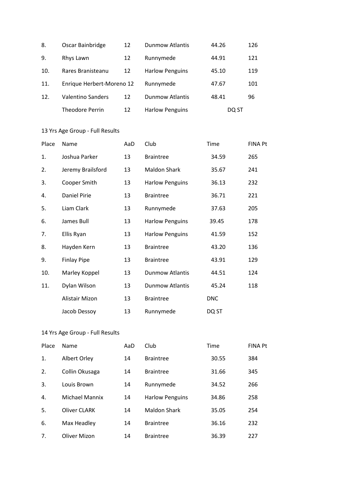| 8.  | Oscar Bainbridge          | 12 | <b>Dunmow Atlantis</b> | 44.26 | 126 |
|-----|---------------------------|----|------------------------|-------|-----|
| 9.  | Rhys Lawn                 | 12 | Runnymede              | 44.91 | 121 |
| 10. | Rares Branisteanu         | 12 | <b>Harlow Penguins</b> | 45.10 | 119 |
| 11. | Enrique Herbert-Moreno 12 |    | Runnymede              | 47.67 | 101 |
| 12. | <b>Valentino Sanders</b>  | 12 | <b>Dunmow Atlantis</b> | 48.41 | 96  |
|     | <b>Theodore Perrin</b>    | 12 | <b>Harlow Penguins</b> | DQ ST |     |

| Place | Name               | AaD | Club                   | Time       | <b>FINA Pt</b> |
|-------|--------------------|-----|------------------------|------------|----------------|
| 1.    | Joshua Parker      | 13  | <b>Braintree</b>       | 34.59      | 265            |
| 2.    | Jeremy Brailsford  | 13  | <b>Maldon Shark</b>    | 35.67      | 241            |
| 3.    | Cooper Smith       | 13  | <b>Harlow Penguins</b> | 36.13      | 232            |
| 4.    | Daniel Pirie       | 13  | <b>Braintree</b>       | 36.71      | 221            |
| 5.    | Liam Clark         | 13  | Runnymede              | 37.63      | 205            |
| 6.    | James Bull         | 13  | <b>Harlow Penguins</b> | 39.45      | 178            |
| 7.    | Ellis Ryan         | 13  | <b>Harlow Penguins</b> | 41.59      | 152            |
| 8.    | Hayden Kern        | 13  | <b>Braintree</b>       | 43.20      | 136            |
| 9.    | <b>Finlay Pipe</b> | 13  | <b>Braintree</b>       | 43.91      | 129            |
| 10.   | Marley Koppel      | 13  | <b>Dunmow Atlantis</b> | 44.51      | 124            |
| 11.   | Dylan Wilson       | 13  | <b>Dunmow Atlantis</b> | 45.24      | 118            |
|       | Alistair Mizon     | 13  | <b>Braintree</b>       | <b>DNC</b> |                |
|       | Jacob Dessoy       | 13  | Runnymede              | DQ ST      |                |

| Place | Name                  | AaD | Club                   | Time  | <b>FINA Pt</b> |
|-------|-----------------------|-----|------------------------|-------|----------------|
| 1.    | Albert Orley          | 14  | <b>Braintree</b>       | 30.55 | 384            |
| 2.    | Collin Okusaga        | 14  | <b>Braintree</b>       | 31.66 | 345            |
| 3.    | Louis Brown           | 14  | Runnymede              | 34.52 | 266            |
| 4.    | <b>Michael Mannix</b> | 14  | <b>Harlow Penguins</b> | 34.86 | 258            |
| 5.    | <b>Oliver CLARK</b>   | 14  | <b>Maldon Shark</b>    | 35.05 | 254            |
| 6.    | Max Headley           | 14  | <b>Braintree</b>       | 36.16 | 232            |
| 7.    | <b>Oliver Mizon</b>   | 14  | <b>Braintree</b>       | 36.39 | 227            |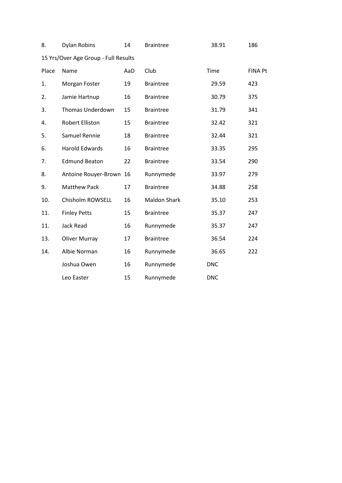| 8.    | Dylan Robins                         | 14  | <b>Braintree</b>    | 38.91      | 186            |
|-------|--------------------------------------|-----|---------------------|------------|----------------|
|       | 15 Yrs/Over Age Group - Full Results |     |                     |            |                |
| Place | Name                                 | AaD | Club                | Time       | <b>FINA Pt</b> |
| 1.    | Morgan Foster                        | 19  | <b>Braintree</b>    | 29.59      | 423            |
| 2.    | Jamie Hartnup                        | 16  | <b>Braintree</b>    | 30.79      | 375            |
| 3.    | <b>Thomas Underdown</b>              | 15  | <b>Braintree</b>    | 31.79      | 341            |
| 4.    | Robert Elliston                      | 15  | <b>Braintree</b>    | 32.42      | 321            |
| 5.    | Samuel Rennie                        | 18  | <b>Braintree</b>    | 32.44      | 321            |
| 6.    | <b>Harold Edwards</b>                | 16  | <b>Braintree</b>    | 33.35      | 295            |
| 7.    | <b>Edmund Beaton</b>                 | 22  | <b>Braintree</b>    | 33.54      | 290            |
| 8.    | Antoine Rouyer-Brown 16              |     | Runnymede           | 33.97      | 279            |
| 9.    | <b>Matthew Pack</b>                  | 17  | <b>Braintree</b>    | 34.88      | 258            |
| 10.   | Chisholm ROWSELL                     | 16  | <b>Maldon Shark</b> | 35.10      | 253            |
| 11.   | <b>Finley Petts</b>                  | 15  | <b>Braintree</b>    | 35.37      | 247            |
| 11.   | Jack Read                            | 16  | Runnymede           | 35.37      | 247            |
| 13.   | <b>Oliver Murray</b>                 | 17  | <b>Braintree</b>    | 36.54      | 224            |
| 14.   | Albie Norman                         | 16  | Runnymede           | 36.65      | 222            |
|       | Joshua Owen                          | 16  | Runnymede           | <b>DNC</b> |                |
|       | Leo Easter                           | 15  | Runnymede           | <b>DNC</b> |                |
|       |                                      |     |                     |            |                |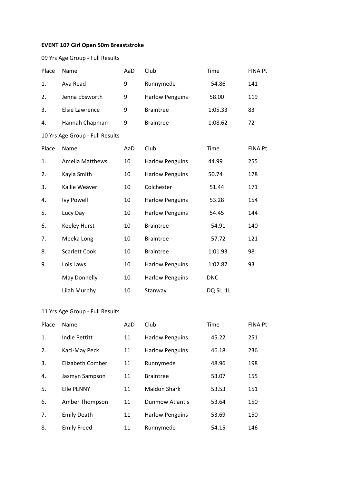## **EVENT 107 Girl Open 50m Breaststroke**

09 Yrs Age Group - Full Results

| Place | Name                            | AaD | Club                   | Time       | <b>FINA Pt</b> |
|-------|---------------------------------|-----|------------------------|------------|----------------|
| 1.    | Ava Read                        | 9   | Runnymede              | 54.86      | 141            |
| 2.    | Jenna Ebsworth                  | 9   | <b>Harlow Penguins</b> | 58.00      | 119            |
| 3.    | Elsie Lawrence                  | 9   | <b>Braintree</b>       | 1:05.33    | 83             |
| 4.    | Hannah Chapman                  | 9   | <b>Braintree</b>       | 1:08.62    | 72             |
|       | 10 Yrs Age Group - Full Results |     |                        |            |                |
| Place | Name                            | AaD | Club                   | Time       | <b>FINA Pt</b> |
| 1.    | <b>Amelia Matthews</b>          | 10  | <b>Harlow Penguins</b> | 44.99      | 255            |
| 2.    | Kayla Smith                     | 10  | <b>Harlow Penguins</b> | 50.74      | 178            |
| 3.    | Kallie Weaver                   | 10  | Colchester             | 51.44      | 171            |
| 4.    | <b>Ivy Powell</b>               | 10  | <b>Harlow Penguins</b> | 53.28      | 154            |
| 5.    | Lucy Day                        | 10  | <b>Harlow Penguins</b> | 54.45      | 144            |
| 6.    | <b>Keeley Hurst</b>             | 10  | <b>Braintree</b>       | 54.91      | 140            |
| 7.    | Meeka Long                      | 10  | <b>Braintree</b>       | 57.72      | 121            |
| 8.    | <b>Scarlett Cook</b>            | 10  | <b>Braintree</b>       | 1:01.93    | 98             |
| 9.    | Lois Laws                       | 10  | <b>Harlow Penguins</b> | 1:02.87    | 93             |
|       | May Donnelly                    | 10  | <b>Harlow Penguins</b> | <b>DNC</b> |                |
|       | Lilah Murphy                    | 10  | Stanway                | DQ SL 1L   |                |

| Place | Name               | AaD | Club                   | Time  | <b>FINA Pt</b> |
|-------|--------------------|-----|------------------------|-------|----------------|
| 1.    | Indie Pettitt      | 11  | <b>Harlow Penguins</b> | 45.22 | 251            |
| 2.    | Kaci-May Peck      | 11  | <b>Harlow Penguins</b> | 46.18 | 236            |
| 3.    | Elizabeth Comber   | 11  | Runnymede              | 48.96 | 198            |
| 4.    | Jasmyn Sampson     | 11  | <b>Braintree</b>       | 53.07 | 155            |
| 5.    | <b>Elle PENNY</b>  | 11  | <b>Maldon Shark</b>    | 53.53 | 151            |
| 6.    | Amber Thompson     | 11  | <b>Dunmow Atlantis</b> | 53.64 | 150            |
| 7.    | <b>Emily Death</b> | 11  | <b>Harlow Penguins</b> | 53.69 | 150            |
| 8.    | <b>Emily Freed</b> | 11  | Runnymede              | 54.15 | 146            |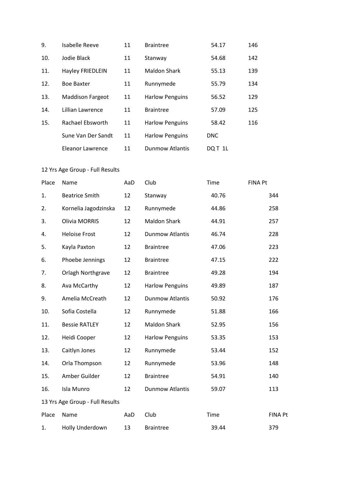| 9.  | <b>Isabelle Reeve</b>   | 11 | <b>Braintree</b>       | 54.17      | 146 |
|-----|-------------------------|----|------------------------|------------|-----|
| 10. | Jodie Black             | 11 | Stanway                | 54.68      | 142 |
| 11. | Hayley FRIEDLEIN        | 11 | <b>Maldon Shark</b>    | 55.13      | 139 |
| 12. | <b>Boe Baxter</b>       | 11 | Runnymede              | 55.79      | 134 |
| 13. | <b>Maddison Fargeot</b> | 11 | <b>Harlow Penguins</b> | 56.52      | 129 |
| 14. | Lillian Lawrence        | 11 | <b>Braintree</b>       | 57.09      | 125 |
| 15. | Rachael Ebsworth        | 11 | <b>Harlow Penguins</b> | 58.42      | 116 |
|     | Sune Van Der Sandt      | 11 | <b>Harlow Penguins</b> | <b>DNC</b> |     |
|     | Eleanor Lawrence        | 11 | <b>Dunmow Atlantis</b> | DOT 1L     |     |

| Place | Name                            | AaD | Club                   | Time  | <b>FINA Pt</b> |
|-------|---------------------------------|-----|------------------------|-------|----------------|
| 1.    | <b>Beatrice Smith</b>           | 12  | Stanway                | 40.76 | 344            |
| 2.    | Kornelia Jagodzinska            | 12  | Runnymede              | 44.86 | 258            |
| 3.    | <b>Olivia MORRIS</b>            | 12  | <b>Maldon Shark</b>    | 44.91 | 257            |
| 4.    | <b>Heloise Frost</b>            | 12  | <b>Dunmow Atlantis</b> | 46.74 | 228            |
| 5.    | Kayla Paxton                    | 12  | <b>Braintree</b>       | 47.06 | 223            |
| 6.    | Phoebe Jennings                 | 12  | <b>Braintree</b>       | 47.15 | 222            |
| 7.    | <b>Orlagh Northgrave</b>        | 12  | <b>Braintree</b>       | 49.28 | 194            |
| 8.    | Ava McCarthy                    | 12  | <b>Harlow Penguins</b> | 49.89 | 187            |
| 9.    | Amelia McCreath                 | 12  | <b>Dunmow Atlantis</b> | 50.92 | 176            |
| 10.   | Sofia Costella                  | 12  | Runnymede              | 51.88 | 166            |
| 11.   | <b>Bessie RATLEY</b>            | 12  | <b>Maldon Shark</b>    | 52.95 | 156            |
| 12.   | Heidi Cooper                    | 12  | <b>Harlow Penguins</b> | 53.35 | 153            |
| 13.   | Caitlyn Jones                   | 12  | Runnymede              | 53.44 | 152            |
| 14.   | Orla Thompson                   | 12  | Runnymede              | 53.96 | 148            |
| 15.   | Amber Guilder                   | 12  | <b>Braintree</b>       | 54.91 | 140            |
| 16.   | Isla Munro                      | 12  | <b>Dunmow Atlantis</b> | 59.07 | 113            |
|       | 13 Yrs Age Group - Full Results |     |                        |       |                |
| Place | Name                            | AaD | Club                   | Time  | <b>FINA Pt</b> |
| 1.    | Holly Underdown                 | 13  | <b>Braintree</b>       | 39.44 | 379            |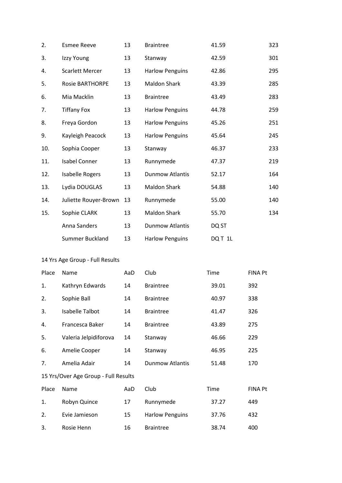| 2.    | <b>Esmee Reeve</b>                   | 13  | <b>Braintree</b>       | 41.59   | 323            |
|-------|--------------------------------------|-----|------------------------|---------|----------------|
| 3.    | Izzy Young                           | 13  | Stanway                | 42.59   | 301            |
| 4.    | <b>Scarlett Mercer</b>               | 13  | <b>Harlow Penguins</b> | 42.86   | 295            |
| 5.    | <b>Rosie BARTHORPE</b>               | 13  | Maldon Shark           | 43.39   | 285            |
| 6.    | Mia Macklin                          | 13  | <b>Braintree</b>       | 43.49   | 283            |
| 7.    | <b>Tiffany Fox</b>                   | 13  | <b>Harlow Penguins</b> | 44.78   | 259            |
| 8.    | Freya Gordon                         | 13  | <b>Harlow Penguins</b> | 45.26   | 251            |
| 9.    | Kayleigh Peacock                     | 13  | <b>Harlow Penguins</b> | 45.64   | 245            |
| 10.   | Sophia Cooper                        | 13  | Stanway                | 46.37   | 233            |
| 11.   | <b>Isabel Conner</b>                 | 13  | Runnymede              | 47.37   | 219            |
| 12.   | <b>Isabelle Rogers</b>               | 13  | <b>Dunmow Atlantis</b> | 52.17   | 164            |
| 13.   | Lydia DOUGLAS                        | 13  | Maldon Shark           | 54.88   | 140            |
| 14.   | Juliette Rouyer-Brown                | 13  | Runnymede              | 55.00   | 140            |
| 15.   | Sophie CLARK                         | 13  | <b>Maldon Shark</b>    | 55.70   | 134            |
|       | Anna Sanders                         | 13  | <b>Dunmow Atlantis</b> | DQ ST   |                |
|       | Summer Buckland                      | 13  | <b>Harlow Penguins</b> | DQ T 1L |                |
|       | 14 Yrs Age Group - Full Results      |     |                        |         |                |
| Place | Name                                 | AaD | Club                   | Time    | <b>FINA Pt</b> |
| 1.    | Kathryn Edwards                      | 14  | <b>Braintree</b>       | 39.01   | 392            |
| 2.    | Sophie Ball                          | 14  | <b>Braintree</b>       | 40.97   | 338            |
| 3.    | Isabelle Talbot                      | 14  | <b>Braintree</b>       | 41.47   | 326            |
| 4.    | Francesca Baker                      | 14  | <b>Braintree</b>       | 43.89   | 275            |
| 5.    | Valeria Jelpidiforova                | 14  | Stanway                | 46.66   | 229            |
| 6.    | Amelie Cooper                        | 14  | Stanway                | 46.95   | 225            |
| 7.    | Amelia Adair                         | 14  | <b>Dunmow Atlantis</b> | 51.48   | 170            |
|       | 15 Yrs/Over Age Group - Full Results |     |                        |         |                |
| Place | Name                                 | AaD | Club                   | Time    | <b>FINA Pt</b> |
| 1.    | Robyn Quince                         | 17  | Runnymede              | 37.27   | 449            |
| 2.    | Evie Jamieson                        | 15  | <b>Harlow Penguins</b> | 37.76   | 432            |
| 3.    | Rosie Henn                           | 16  | <b>Braintree</b>       | 38.74   | 400            |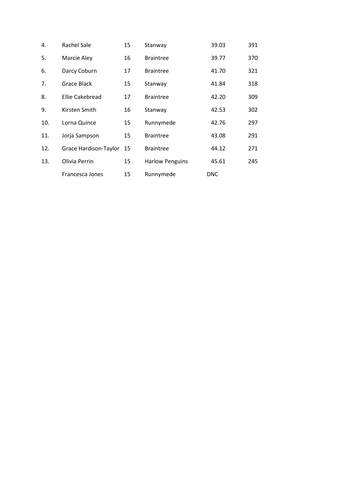| 4.  | <b>Rachel Sale</b>    | 15 | Stanway                | 39.03      | 391 |
|-----|-----------------------|----|------------------------|------------|-----|
| 5.  | Marcie Aley           | 16 | <b>Braintree</b>       | 39.77      | 370 |
| 6.  | Darcy Coburn          | 17 | <b>Braintree</b>       | 41.70      | 321 |
| 7.  | Grace Black           | 15 | Stanway                | 41.84      | 318 |
| 8.  | Ellie Cakebread       | 17 | <b>Braintree</b>       | 42.20      | 309 |
| 9.  | Kirsten Smith         | 16 | Stanway                | 42.53      | 302 |
| 10. | Lorna Quince          | 15 | Runnymede              | 42.76      | 297 |
| 11. | Jorja Sampson         | 15 | <b>Braintree</b>       | 43.08      | 291 |
| 12. | Grace Hardison-Taylor | 15 | <b>Braintree</b>       | 44.12      | 271 |
| 13. | Olivia Perrin         | 15 | <b>Harlow Penguins</b> | 45.61      | 245 |
|     | Francesca Jones       | 15 | Runnymede              | <b>DNC</b> |     |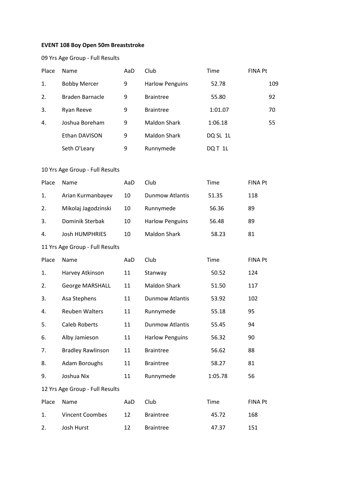## **EVENT 108 Boy Open 50m Breaststroke**

|       | 09 Yrs Age Group - Full Results |     |                        |          |                |
|-------|---------------------------------|-----|------------------------|----------|----------------|
| Place | Name                            | AaD | Club                   | Time     | <b>FINA Pt</b> |
| 1.    | <b>Bobby Mercer</b>             | 9   | <b>Harlow Penguins</b> | 52.78    | 109            |
| 2.    | <b>Braden Barnacle</b>          | 9   | <b>Braintree</b>       | 55.80    | 92             |
| 3.    | Ryan Reeve                      | 9   | <b>Braintree</b>       | 1:01.07  | 70             |
| 4.    | Joshua Boreham                  | 9   | <b>Maldon Shark</b>    | 1:06.18  | 55             |
|       | Ethan DAVISON                   | 9   | <b>Maldon Shark</b>    | DQ SL 1L |                |
|       | Seth O'Leary                    | 9   | Runnymede              | DQT 1L   |                |
|       | 10 Yrs Age Group - Full Results |     |                        |          |                |
| Place | Name                            | AaD | Club                   | Time     | FINA Pt        |
| 1.    | Arian Kurmanbayev               | 10  | <b>Dunmow Atlantis</b> | 51.35    | 118            |
| 2.    | Mikolaj Jagodzinski             | 10  | Runnymede              | 56.36    | 89             |
| 3.    | Dominik Sterbak                 | 10  | <b>Harlow Penguins</b> | 56.48    | 89             |
| 4.    | <b>Josh HUMPHRIES</b>           | 10  | <b>Maldon Shark</b>    | 58.23    | 81             |
|       | 11 Yrs Age Group - Full Results |     |                        |          |                |
| Place | Name                            | AaD | Club                   | Time     | <b>FINA Pt</b> |
| 1.    | Harvey Atkinson                 | 11  | Stanway                | 50.52    | 124            |
| 2.    | George MARSHALL                 | 11  | <b>Maldon Shark</b>    | 51.50    | 117            |
| 3.    | Asa Stephens                    | 11  | <b>Dunmow Atlantis</b> | 53.92    | 102            |
| 4.    | Reuben Walters                  | 11  | Runnymede              | 55.18    | 95             |
| 5.    | Caleb Roberts                   | 11  | <b>Dunmow Atlantis</b> | 55.45    | 94             |
| 6.    | Alby Jamieson                   | 11  | <b>Harlow Penguins</b> | 56.32    | 90             |
| 7.    | <b>Bradley Rawlinson</b>        | 11  | <b>Braintree</b>       | 56.62    | 88             |
| 8.    | Adam Boroughs                   | 11  | <b>Braintree</b>       | 58.27    | 81             |
| 9.    | Joshua Nix                      | 11  | Runnymede              | 1:05.78  | 56             |
|       | 12 Yrs Age Group - Full Results |     |                        |          |                |
| Place | Name                            | AaD | Club                   | Time     | <b>FINA Pt</b> |
| 1.    | Vincent Coombes                 | 12  | <b>Braintree</b>       | 45.72    | 168            |
| 2.    | Josh Hurst                      | 12  | <b>Braintree</b>       | 47.37    | 151            |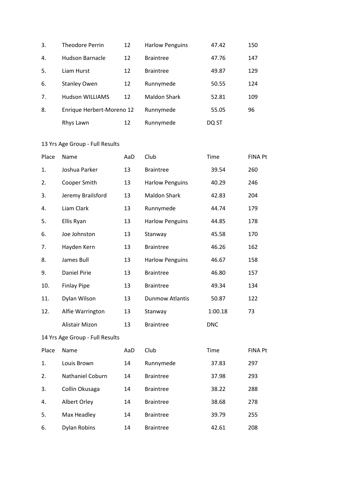| 3. | <b>Theodore Perrin</b>    | 12 | <b>Harlow Penguins</b> | 47.42 | 150 |
|----|---------------------------|----|------------------------|-------|-----|
| 4. | Hudson Barnacle           | 12 | <b>Braintree</b>       | 47.76 | 147 |
| 5. | Liam Hurst                | 12 | <b>Braintree</b>       | 49.87 | 129 |
| 6. | <b>Stanley Owen</b>       | 12 | Runnymede              | 50.55 | 124 |
| 7. | <b>Hudson WILLIAMS</b>    | 12 | Maldon Shark           | 52.81 | 109 |
| 8. | Enrique Herbert-Moreno 12 |    | Runnymede              | 55.05 | 96  |
|    | Rhys Lawn                 | 12 | Runnymede              | DQ ST |     |

| Place | Name                            | AaD | Club                   | Time       | <b>FINA Pt</b> |
|-------|---------------------------------|-----|------------------------|------------|----------------|
| 1.    | Joshua Parker                   | 13  | <b>Braintree</b>       | 39.54      | 260            |
| 2.    | Cooper Smith                    | 13  | <b>Harlow Penguins</b> | 40.29      | 246            |
| 3.    | Jeremy Brailsford               | 13  | <b>Maldon Shark</b>    | 42.83      | 204            |
| 4.    | Liam Clark                      | 13  | Runnymede              | 44.74      | 179            |
| 5.    | Ellis Ryan                      | 13  | <b>Harlow Penguins</b> | 44.85      | 178            |
| 6.    | Joe Johnston                    | 13  | Stanway                | 45.58      | 170            |
| 7.    | Hayden Kern                     | 13  | <b>Braintree</b>       | 46.26      | 162            |
| 8.    | James Bull                      | 13  | <b>Harlow Penguins</b> | 46.67      | 158            |
| 9.    | <b>Daniel Pirie</b>             | 13  | <b>Braintree</b>       | 46.80      | 157            |
| 10.   | <b>Finlay Pipe</b>              | 13  | <b>Braintree</b>       | 49.34      | 134            |
| 11.   | Dylan Wilson                    | 13  | <b>Dunmow Atlantis</b> | 50.87      | 122            |
| 12.   | Alfie Warrington                | 13  | Stanway                | 1:00.18    | 73             |
|       | <b>Alistair Mizon</b>           | 13  | <b>Braintree</b>       | <b>DNC</b> |                |
|       | 14 Yrs Age Group - Full Results |     |                        |            |                |
| Place | Name                            | AaD | Club                   | Time       | FINA Pt        |
| 1.    | Louis Brown                     | 14  | Runnymede              | 37.83      | 297            |
| 2.    | Nathaniel Coburn                | 14  | <b>Braintree</b>       | 37.98      | 293            |
| 3.    | Collin Okusaga                  | 14  | <b>Braintree</b>       | 38.22      | 288            |
| 4.    | Albert Orley                    | 14  | <b>Braintree</b>       | 38.68      | 278            |
| 5.    | Max Headley                     | 14  | <b>Braintree</b>       | 39.79      | 255            |

6. Dylan Robins 14 Braintree 42.61 208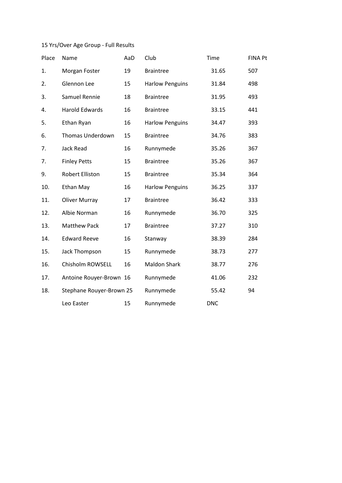| Place | Name                     | AaD | Club                   | Time       | <b>FINA Pt</b> |
|-------|--------------------------|-----|------------------------|------------|----------------|
| 1.    | Morgan Foster            | 19  | <b>Braintree</b>       | 31.65      | 507            |
| 2.    | Glennon Lee              | 15  | <b>Harlow Penguins</b> | 31.84      | 498            |
| 3.    | Samuel Rennie            | 18  | <b>Braintree</b>       | 31.95      | 493            |
| 4.    | <b>Harold Edwards</b>    | 16  | <b>Braintree</b>       | 33.15      | 441            |
| 5.    | Ethan Ryan               | 16  | <b>Harlow Penguins</b> | 34.47      | 393            |
| 6.    | Thomas Underdown         | 15  | <b>Braintree</b>       | 34.76      | 383            |
| 7.    | Jack Read                | 16  | Runnymede              | 35.26      | 367            |
| 7.    | <b>Finley Petts</b>      | 15  | <b>Braintree</b>       | 35.26      | 367            |
| 9.    | <b>Robert Elliston</b>   | 15  | <b>Braintree</b>       | 35.34      | 364            |
| 10.   | Ethan May                | 16  | <b>Harlow Penguins</b> | 36.25      | 337            |
| 11.   | <b>Oliver Murray</b>     | 17  | <b>Braintree</b>       | 36.42      | 333            |
| 12.   | Albie Norman             | 16  | Runnymede              | 36.70      | 325            |
| 13.   | <b>Matthew Pack</b>      | 17  | <b>Braintree</b>       | 37.27      | 310            |
| 14.   | <b>Edward Reeve</b>      | 16  | Stanway                | 38.39      | 284            |
| 15.   | Jack Thompson            | 15  | Runnymede              | 38.73      | 277            |
| 16.   | Chisholm ROWSELL         | 16  | <b>Maldon Shark</b>    | 38.77      | 276            |
| 17.   | Antoine Rouyer-Brown 16  |     | Runnymede              | 41.06      | 232            |
| 18.   | Stephane Rouyer-Brown 25 |     | Runnymede              | 55.42      | 94             |
|       | Leo Easter               | 15  | Runnymede              | <b>DNC</b> |                |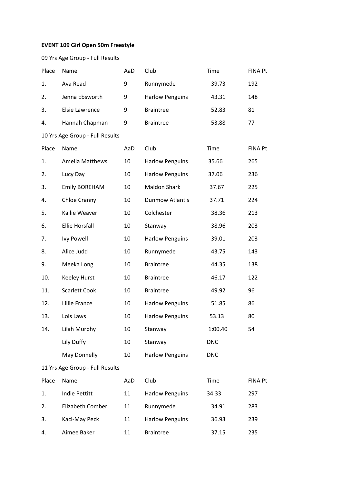## **EVENT 109 Girl Open 50m Freestyle**

| Place | Name                            | AaD | Club                   | Time       | <b>FINA Pt</b> |
|-------|---------------------------------|-----|------------------------|------------|----------------|
| 1.    | Ava Read                        | 9   | Runnymede              | 39.73      | 192            |
| 2.    | Jenna Ebsworth                  | 9   | <b>Harlow Penguins</b> | 43.31      | 148            |
| 3.    | Elsie Lawrence                  | 9   | <b>Braintree</b>       | 52.83      | 81             |
| 4.    | Hannah Chapman                  | 9   | <b>Braintree</b>       | 53.88      | 77             |
|       | 10 Yrs Age Group - Full Results |     |                        |            |                |
| Place | Name                            | AaD | Club                   | Time       | <b>FINA Pt</b> |
| 1.    | <b>Amelia Matthews</b>          | 10  | <b>Harlow Penguins</b> | 35.66      | 265            |
| 2.    | Lucy Day                        | 10  | <b>Harlow Penguins</b> | 37.06      | 236            |
| 3.    | <b>Emily BOREHAM</b>            | 10  | <b>Maldon Shark</b>    | 37.67      | 225            |
| 4.    | Chloe Cranny                    | 10  | <b>Dunmow Atlantis</b> | 37.71      | 224            |
| 5.    | Kallie Weaver                   | 10  | Colchester             | 38.36      | 213            |
| 6.    | <b>Ellie Horsfall</b>           | 10  | Stanway                | 38.96      | 203            |
| 7.    | <b>Ivy Powell</b>               | 10  | <b>Harlow Penguins</b> | 39.01      | 203            |
| 8.    | Alice Judd                      | 10  | Runnymede              | 43.75      | 143            |
| 9.    | Meeka Long                      | 10  | <b>Braintree</b>       | 44.35      | 138            |
| 10.   | <b>Keeley Hurst</b>             | 10  | <b>Braintree</b>       | 46.17      | 122            |
| 11.   | <b>Scarlett Cook</b>            | 10  | <b>Braintree</b>       | 49.92      | 96             |
| 12.   | Lillie France                   | 10  | <b>Harlow Penguins</b> | 51.85      | 86             |
| 13.   | Lois Laws                       | 10  | <b>Harlow Penguins</b> | 53.13      | 80             |
| 14.   | Lilah Murphy                    | 10  | Stanway                | 1:00.40    | 54             |
|       | Lily Duffy                      | 10  | Stanway                | <b>DNC</b> |                |
|       | May Donnelly                    | 10  | <b>Harlow Penguins</b> | <b>DNC</b> |                |
|       | 11 Yrs Age Group - Full Results |     |                        |            |                |
| Place | Name                            | AaD | Club                   | Time       | FINA Pt        |
| 1.    | <b>Indie Pettitt</b>            | 11  | <b>Harlow Penguins</b> | 34.33      | 297            |
| 2.    | Elizabeth Comber                | 11  | Runnymede              | 34.91      | 283            |
| 3.    | Kaci-May Peck                   | 11  | <b>Harlow Penguins</b> | 36.93      | 239            |
| 4.    | Aimee Baker                     | 11  | <b>Braintree</b>       | 37.15      | 235            |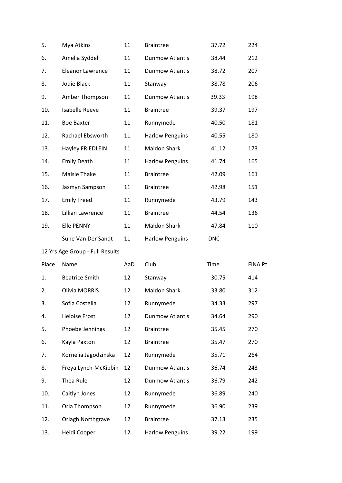| 5.    | Mya Atkins                      | 11  | <b>Braintree</b>       | 37.72      | 224            |
|-------|---------------------------------|-----|------------------------|------------|----------------|
| 6.    | Amelia Syddell                  | 11  | <b>Dunmow Atlantis</b> | 38.44      | 212            |
| 7.    | <b>Eleanor Lawrence</b>         | 11  | Dunmow Atlantis        | 38.72      | 207            |
| 8.    | Jodie Black                     | 11  | Stanway                | 38.78      | 206            |
| 9.    | Amber Thompson                  | 11  | <b>Dunmow Atlantis</b> | 39.33      | 198            |
| 10.   | <b>Isabelle Reeve</b>           | 11  | <b>Braintree</b>       | 39.37      | 197            |
| 11.   | <b>Boe Baxter</b>               | 11  | Runnymede              | 40.50      | 181            |
| 12.   | Rachael Ebsworth                | 11  | <b>Harlow Penguins</b> | 40.55      | 180            |
| 13.   | Hayley FRIEDLEIN                | 11  | <b>Maldon Shark</b>    | 41.12      | 173            |
| 14.   | <b>Emily Death</b>              | 11  | <b>Harlow Penguins</b> | 41.74      | 165            |
| 15.   | Maisie Thake                    | 11  | <b>Braintree</b>       | 42.09      | 161            |
| 16.   | Jasmyn Sampson                  | 11  | <b>Braintree</b>       | 42.98      | 151            |
| 17.   | <b>Emily Freed</b>              | 11  | Runnymede              | 43.79      | 143            |
| 18.   | Lillian Lawrence                | 11  | <b>Braintree</b>       | 44.54      | 136            |
| 19.   | <b>Elle PENNY</b>               | 11  | <b>Maldon Shark</b>    | 47.84      | 110            |
|       | Sune Van Der Sandt              | 11  | <b>Harlow Penguins</b> | <b>DNC</b> |                |
|       | 12 Yrs Age Group - Full Results |     |                        |            |                |
| Place | Name                            | AaD | Club                   | Time       | <b>FINA Pt</b> |
| 1.    | <b>Beatrice Smith</b>           | 12  | Stanway                | 30.75      | 414            |
| 2.    | <b>Olivia MORRIS</b>            | 12  | <b>Maldon Shark</b>    | 33.80      | 312            |
| 3.    | Sofia Costella                  | 12  | Runnymede              | 34.33      | 297            |
| 4.    | <b>Heloise Frost</b>            | 12  | <b>Dunmow Atlantis</b> | 34.64      | 290            |
| 5.    | Phoebe Jennings                 | 12  | <b>Braintree</b>       | 35.45      | 270            |
| 6.    | Kayla Paxton                    | 12  | <b>Braintree</b>       | 35.47      | 270            |
| 7.    | Kornelia Jagodzinska            | 12  | Runnymede              | 35.71      | 264            |
| 8.    | Freya Lynch-McKibbin            | 12  | <b>Dunmow Atlantis</b> | 36.74      | 243            |
| 9.    | Thea Rule                       | 12  | Dunmow Atlantis        | 36.79      | 242            |
| 10.   | Caitlyn Jones                   | 12  | Runnymede              | 36.89      | 240            |
| 11.   | Orla Thompson                   | 12  | Runnymede              | 36.90      | 239            |
| 12.   | <b>Orlagh Northgrave</b>        | 12  | <b>Braintree</b>       | 37.13      | 235            |
| 13.   | Heidi Cooper                    | 12  | <b>Harlow Penguins</b> | 39.22      | 199            |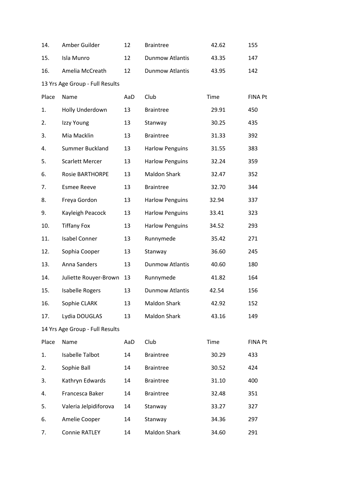| 14.   | Amber Guilder                   | 12  | <b>Braintree</b>       | 42.62 | 155            |
|-------|---------------------------------|-----|------------------------|-------|----------------|
| 15.   | Isla Munro                      | 12  | <b>Dunmow Atlantis</b> | 43.35 | 147            |
| 16.   | Amelia McCreath                 | 12  | <b>Dunmow Atlantis</b> | 43.95 | 142            |
|       | 13 Yrs Age Group - Full Results |     |                        |       |                |
| Place | Name                            | AaD | Club                   | Time  | <b>FINA Pt</b> |
| 1.    | Holly Underdown                 | 13  | <b>Braintree</b>       | 29.91 | 450            |
| 2.    | Izzy Young                      | 13  | Stanway                | 30.25 | 435            |
| 3.    | Mia Macklin                     | 13  | <b>Braintree</b>       | 31.33 | 392            |
| 4.    | Summer Buckland                 | 13  | <b>Harlow Penguins</b> | 31.55 | 383            |
| 5.    | <b>Scarlett Mercer</b>          | 13  | <b>Harlow Penguins</b> | 32.24 | 359            |
| 6.    | <b>Rosie BARTHORPE</b>          | 13  | <b>Maldon Shark</b>    | 32.47 | 352            |
| 7.    | <b>Esmee Reeve</b>              | 13  | <b>Braintree</b>       | 32.70 | 344            |
| 8.    | Freya Gordon                    | 13  | <b>Harlow Penguins</b> | 32.94 | 337            |
| 9.    | Kayleigh Peacock                | 13  | <b>Harlow Penguins</b> | 33.41 | 323            |
| 10.   | <b>Tiffany Fox</b>              | 13  | <b>Harlow Penguins</b> | 34.52 | 293            |
| 11.   | <b>Isabel Conner</b>            | 13  | Runnymede              | 35.42 | 271            |
| 12.   | Sophia Cooper                   | 13  | Stanway                | 36.60 | 245            |
| 13.   | Anna Sanders                    | 13  | <b>Dunmow Atlantis</b> | 40.60 | 180            |
| 14.   | Juliette Rouyer-Brown           | 13  | Runnymede              | 41.82 | 164            |
| 15.   | <b>Isabelle Rogers</b>          | 13  | <b>Dunmow Atlantis</b> | 42.54 | 156            |
| 16.   | Sophie CLARK                    | 13  | <b>Maldon Shark</b>    | 42.92 | 152            |
| 17.   | Lydia DOUGLAS                   | 13  | <b>Maldon Shark</b>    | 43.16 | 149            |
|       | 14 Yrs Age Group - Full Results |     |                        |       |                |
| Place | Name                            | AaD | Club                   | Time  | <b>FINA Pt</b> |
| 1.    | Isabelle Talbot                 | 14  | <b>Braintree</b>       | 30.29 | 433            |
| 2.    | Sophie Ball                     | 14  | <b>Braintree</b>       | 30.52 | 424            |
| 3.    | Kathryn Edwards                 | 14  | <b>Braintree</b>       | 31.10 | 400            |
| 4.    | Francesca Baker                 | 14  | <b>Braintree</b>       | 32.48 | 351            |
| 5.    | Valeria Jelpidiforova           | 14  | Stanway                | 33.27 | 327            |
| 6.    | Amelie Cooper                   | 14  | Stanway                | 34.36 | 297            |
| 7.    | Connie RATLEY                   | 14  | <b>Maldon Shark</b>    | 34.60 | 291            |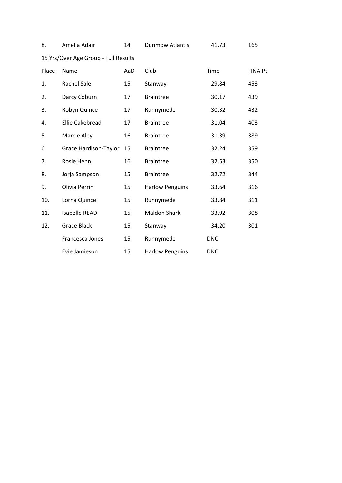| 8.    | Amelia Adair                         | 14  | <b>Dunmow Atlantis</b> | 41.73      | 165            |
|-------|--------------------------------------|-----|------------------------|------------|----------------|
|       | 15 Yrs/Over Age Group - Full Results |     |                        |            |                |
| Place | Name                                 | AaD | Club                   | Time       | <b>FINA Pt</b> |
| 1.    | <b>Rachel Sale</b>                   | 15  | Stanway                | 29.84      | 453            |
| 2.    | Darcy Coburn                         | 17  | <b>Braintree</b>       | 30.17      | 439            |
| 3.    | Robyn Quince                         | 17  | Runnymede              | 30.32      | 432            |
| 4.    | <b>Ellie Cakebread</b>               | 17  | <b>Braintree</b>       | 31.04      | 403            |
| 5.    | Marcie Aley                          | 16  | <b>Braintree</b>       | 31.39      | 389            |
| 6.    | Grace Hardison-Taylor                | 15  | <b>Braintree</b>       | 32.24      | 359            |
| 7.    | Rosie Henn                           | 16  | <b>Braintree</b>       | 32.53      | 350            |
| 8.    | Jorja Sampson                        | 15  | <b>Braintree</b>       | 32.72      | 344            |
| 9.    | Olivia Perrin                        | 15  | <b>Harlow Penguins</b> | 33.64      | 316            |
| 10.   | Lorna Quince                         | 15  | Runnymede              | 33.84      | 311            |
| 11.   | <b>Isabelle READ</b>                 | 15  | <b>Maldon Shark</b>    | 33.92      | 308            |
| 12.   | <b>Grace Black</b>                   | 15  | Stanway                | 34.20      | 301            |
|       | Francesca Jones                      | 15  | Runnymede              | <b>DNC</b> |                |
|       | Evie Jamieson                        | 15  | <b>Harlow Penguins</b> | <b>DNC</b> |                |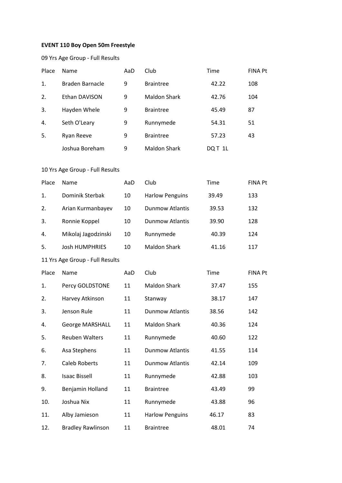### **EVENT 110 Boy Open 50m Freestyle**

| Place | Name            | AaD | Club                | Time   | <b>FINA Pt</b> |
|-------|-----------------|-----|---------------------|--------|----------------|
| 1.    | Braden Barnacle | 9   | <b>Braintree</b>    | 42.22  | 108            |
| 2.    | Ethan DAVISON   | 9   | Maldon Shark        | 42.76  | 104            |
| 3.    | Hayden Whele    | 9   | <b>Braintree</b>    | 45.49  | 87             |
| 4.    | Seth O'Leary    | 9   | Runnymede           | 54.31  | 51             |
| 5.    | Ryan Reeve      | 9   | <b>Braintree</b>    | 57.23  | 43             |
|       | Joshua Boreham  | 9   | <b>Maldon Shark</b> | DQT 1L |                |

| Place                           | Name                     | AaD | Club                   | Time  | <b>FINA Pt</b> |  |
|---------------------------------|--------------------------|-----|------------------------|-------|----------------|--|
| 1.                              | Dominik Sterbak          | 10  | <b>Harlow Penguins</b> | 39.49 | 133            |  |
| 2.                              | Arian Kurmanbayev        | 10  | <b>Dunmow Atlantis</b> | 39.53 | 132            |  |
| 3.                              | Ronnie Koppel            | 10  | <b>Dunmow Atlantis</b> | 39.90 | 128            |  |
| 4.                              | Mikolaj Jagodzinski      | 10  | Runnymede              | 40.39 | 124            |  |
| 5.                              | <b>Josh HUMPHRIES</b>    | 10  | <b>Maldon Shark</b>    | 41.16 | 117            |  |
| 11 Yrs Age Group - Full Results |                          |     |                        |       |                |  |
| Place                           | Name                     | AaD | Club                   | Time  | <b>FINA Pt</b> |  |
| 1.                              | Percy GOLDSTONE          | 11  | <b>Maldon Shark</b>    | 37.47 | 155            |  |
| 2.                              | Harvey Atkinson          | 11  | Stanway                | 38.17 | 147            |  |
| 3.                              | Jenson Rule              | 11  | <b>Dunmow Atlantis</b> | 38.56 | 142            |  |
| 4.                              | George MARSHALL          | 11  | <b>Maldon Shark</b>    | 40.36 | 124            |  |
| 5.                              | <b>Reuben Walters</b>    | 11  | Runnymede              | 40.60 | 122            |  |
| 6.                              | Asa Stephens             | 11  | <b>Dunmow Atlantis</b> | 41.55 | 114            |  |
| 7.                              | <b>Caleb Roberts</b>     | 11  | <b>Dunmow Atlantis</b> | 42.14 | 109            |  |
| 8.                              | <b>Isaac Bissell</b>     | 11  | Runnymede              | 42.88 | 103            |  |
| 9.                              | Benjamin Holland         | 11  | <b>Braintree</b>       | 43.49 | 99             |  |
| 10.                             | Joshua Nix               | 11  | Runnymede              | 43.88 | 96             |  |
| 11.                             | Alby Jamieson            | 11  | <b>Harlow Penguins</b> | 46.17 | 83             |  |
| 12.                             | <b>Bradley Rawlinson</b> | 11  | <b>Braintree</b>       | 48.01 | 74             |  |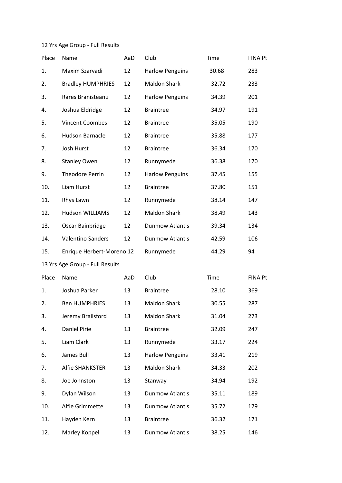| Place                           | Name                      | AaD | Club                   | Time  | <b>FINA Pt</b> |  |
|---------------------------------|---------------------------|-----|------------------------|-------|----------------|--|
| 1.                              | Maxim Szarvadi            | 12  | <b>Harlow Penguins</b> | 30.68 | 283            |  |
| 2.                              | <b>Bradley HUMPHRIES</b>  | 12  | <b>Maldon Shark</b>    | 32.72 | 233            |  |
| 3.                              | Rares Branisteanu         | 12  | <b>Harlow Penguins</b> | 34.39 | 201            |  |
| 4.                              | Joshua Eldridge           | 12  | <b>Braintree</b>       | 34.97 | 191            |  |
| 5.                              | <b>Vincent Coombes</b>    | 12  | <b>Braintree</b>       | 35.05 | 190            |  |
| 6.                              | <b>Hudson Barnacle</b>    | 12  | <b>Braintree</b>       | 35.88 | 177            |  |
| 7.                              | <b>Josh Hurst</b>         | 12  | <b>Braintree</b>       | 36.34 | 170            |  |
| 8.                              | <b>Stanley Owen</b>       | 12  | Runnymede              | 36.38 | 170            |  |
| 9.                              | <b>Theodore Perrin</b>    | 12  | <b>Harlow Penguins</b> | 37.45 | 155            |  |
| 10.                             | Liam Hurst                | 12  | <b>Braintree</b>       | 37.80 | 151            |  |
| 11.                             | Rhys Lawn                 | 12  | Runnymede              | 38.14 | 147            |  |
| 12.                             | <b>Hudson WILLIAMS</b>    | 12  | <b>Maldon Shark</b>    | 38.49 | 143            |  |
| 13.                             | Oscar Bainbridge          | 12  | <b>Dunmow Atlantis</b> | 39.34 | 134            |  |
| 14.                             | <b>Valentino Sanders</b>  | 12  | <b>Dunmow Atlantis</b> | 42.59 | 106            |  |
| 15.                             | Enrique Herbert-Moreno 12 |     | Runnymede              | 44.29 | 94             |  |
| 13 Yrs Age Group - Full Results |                           |     |                        |       |                |  |
| Place                           | Name                      | AaD | Club                   | Time  | <b>FINA Pt</b> |  |
| 1.                              | Joshua Parker             | 13  | <b>Braintree</b>       | 28.10 | 369            |  |
| 2.                              | <b>Ben HUMPHRIES</b>      | 13  | <b>Maldon Shark</b>    | 30.55 | 287            |  |
| 3.                              | Jeremy Brailsford         | 13  | Maldon Shark           | 31.04 | 273            |  |
| 4.                              | Daniel Pirie              | 13  | <b>Braintree</b>       | 32.09 | 247            |  |
| 5.                              | Liam Clark                | 13  | Runnymede              | 33.17 | 224            |  |
| 6.                              | James Bull                | 13  | <b>Harlow Penguins</b> | 33.41 | 219            |  |
| 7.                              | Alfie SHANKSTER           | 13  | <b>Maldon Shark</b>    | 34.33 | 202            |  |
| 8.                              | Joe Johnston              | 13  | Stanway                | 34.94 | 192            |  |
| 9.                              | Dylan Wilson              | 13  | <b>Dunmow Atlantis</b> | 35.11 | 189            |  |
| 10.                             | Alfie Grimmette           | 13  | <b>Dunmow Atlantis</b> | 35.72 | 179            |  |
| 11.                             | Hayden Kern               | 13  | <b>Braintree</b>       | 36.32 | 171            |  |
| 12.                             | Marley Koppel             | 13  | <b>Dunmow Atlantis</b> | 38.25 | 146            |  |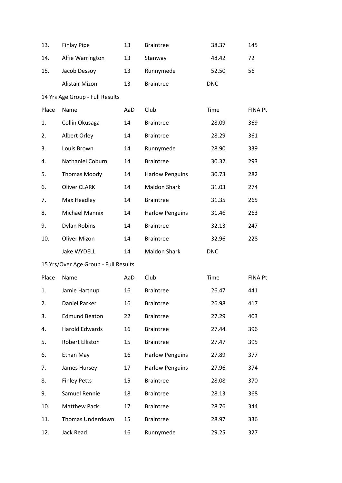| 13.   | <b>Finlay Pipe</b>                   | 13  | <b>Braintree</b>       | 38.37      | 145            |
|-------|--------------------------------------|-----|------------------------|------------|----------------|
| 14.   | Alfie Warrington                     | 13  | Stanway                | 48.42      | 72             |
| 15.   | Jacob Dessoy                         | 13  | Runnymede              | 52.50      | 56             |
|       | Alistair Mizon                       | 13  | <b>Braintree</b>       | <b>DNC</b> |                |
|       | 14 Yrs Age Group - Full Results      |     |                        |            |                |
| Place | Name                                 | AaD | Club                   | Time       | <b>FINA Pt</b> |
| 1.    | Collin Okusaga                       | 14  | <b>Braintree</b>       | 28.09      | 369            |
| 2.    | Albert Orley                         | 14  | <b>Braintree</b>       | 28.29      | 361            |
| 3.    | Louis Brown                          | 14  | Runnymede              | 28.90      | 339            |
| 4.    | Nathaniel Coburn                     | 14  | <b>Braintree</b>       | 30.32      | 293            |
| 5.    | <b>Thomas Moody</b>                  | 14  | <b>Harlow Penguins</b> | 30.73      | 282            |
| 6.    | <b>Oliver CLARK</b>                  | 14  | <b>Maldon Shark</b>    | 31.03      | 274            |
| 7.    | Max Headley                          | 14  | <b>Braintree</b>       | 31.35      | 265            |
| 8.    | <b>Michael Mannix</b>                | 14  | <b>Harlow Penguins</b> | 31.46      | 263            |
| 9.    | <b>Dylan Robins</b>                  | 14  | <b>Braintree</b>       | 32.13      | 247            |
| 10.   | <b>Oliver Mizon</b>                  | 14  | <b>Braintree</b>       | 32.96      | 228            |
|       | Jake WYDELL                          | 14  | <b>Maldon Shark</b>    | <b>DNC</b> |                |
|       | 15 Yrs/Over Age Group - Full Results |     |                        |            |                |
| Place | Name                                 | AaD | Club                   | Time       | <b>FINA Pt</b> |
| 1.    | Jamie Hartnup                        | 16  | <b>Braintree</b>       | 26.47      | 441            |
| 2.    | Daniel Parker                        | 16  | <b>Braintree</b>       | 26.98      | 417            |
| 3.    | <b>Edmund Beaton</b>                 | 22  | <b>Braintree</b>       | 27.29      | 403            |
| 4.    | <b>Harold Edwards</b>                | 16  | <b>Braintree</b>       | 27.44      | 396            |
| 5.    | Robert Elliston                      | 15  | <b>Braintree</b>       | 27.47      | 395            |
| 6.    | Ethan May                            | 16  | <b>Harlow Penguins</b> | 27.89      | 377            |
| 7.    | James Hursey                         | 17  | <b>Harlow Penguins</b> | 27.96      | 374            |
| 8.    | <b>Finley Petts</b>                  | 15  | <b>Braintree</b>       | 28.08      | 370            |
| 9.    | Samuel Rennie                        | 18  | <b>Braintree</b>       | 28.13      | 368            |
| 10.   | <b>Matthew Pack</b>                  | 17  | <b>Braintree</b>       | 28.76      | 344            |
| 11.   | Thomas Underdown                     | 15  | <b>Braintree</b>       | 28.97      | 336            |
| 12.   | Jack Read                            | 16  | Runnymede              | 29.25      | 327            |